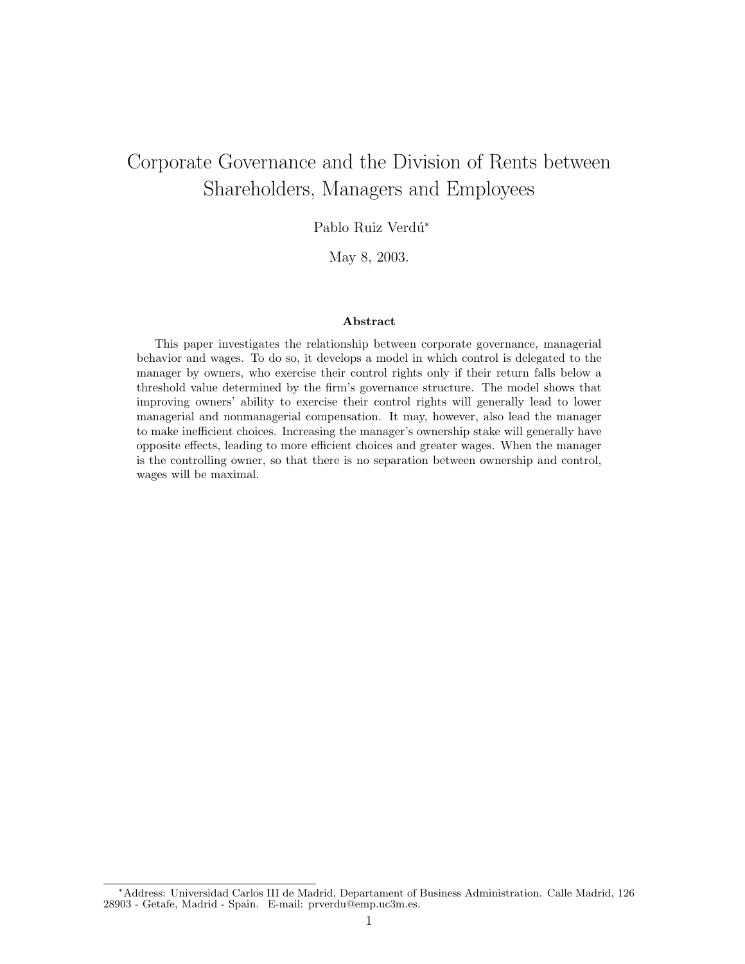# Corporate Governance and the Division of Rents between Shareholders, Managers and Employees

Pablo Ruiz Verdú\*

May 8, 2003.

#### Abstract

This paper investigates the relationship between corporate governance, managerial behavior and wages. To do so, it develops a model in which control is delegated to the manager by owners, who exercise their control rights only if their return falls below a threshold value determined by the firm's governance structure. The model shows that improving owners' ability to exercise their control rights will generally lead to lower managerial and nonmanagerial compensation. It may, however, also lead the manager to make inefficient choices. Increasing the manager's ownership stake will generally have opposite effects, leading to more efficient choices and greater wages. When the manager is the controlling owner, so that there is no separation between ownership and control, wages will be maximal.

<sup>∗</sup>Address: Universidad Carlos III de Madrid, Departament of Business Administration. Calle Madrid, 126 28903 - Getafe, Madrid - Spain. E-mail: prverdu@emp.uc3m.es.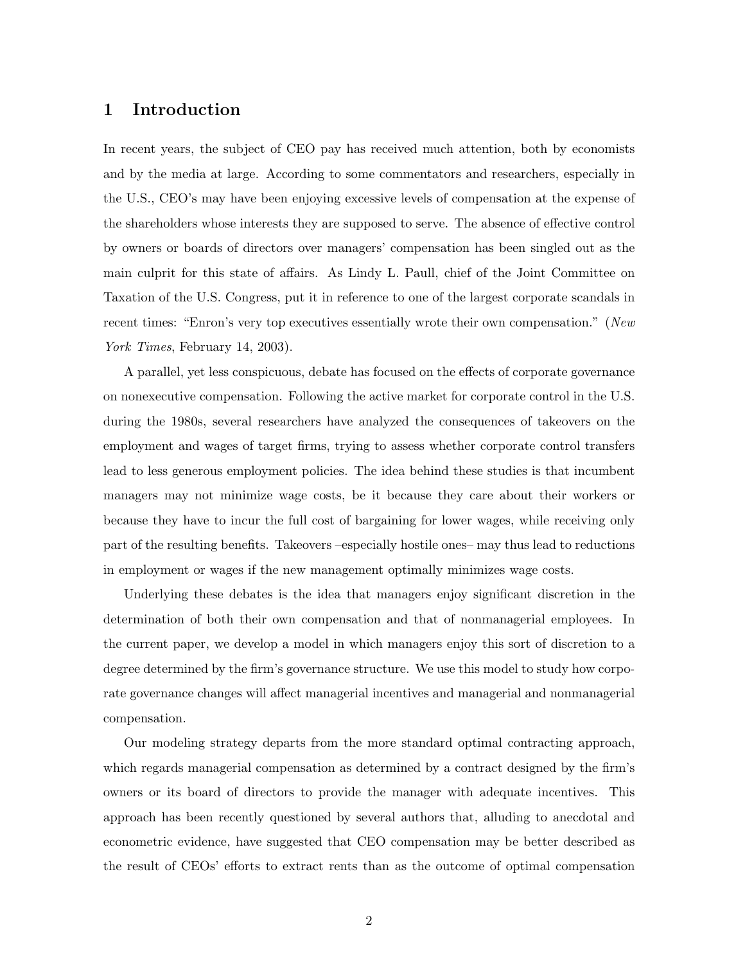## 1 Introduction

In recent years, the subject of CEO pay has received much attention, both by economists and by the media at large. According to some commentators and researchers, especially in the U.S., CEO's may have been enjoying excessive levels of compensation at the expense of the shareholders whose interests they are supposed to serve. The absence of effective control by owners or boards of directors over managers' compensation has been singled out as the main culprit for this state of affairs. As Lindy L. Paull, chief of the Joint Committee on Taxation of the U.S. Congress, put it in reference to one of the largest corporate scandals in recent times: "Enron's very top executives essentially wrote their own compensation." (New York Times, February 14, 2003).

A parallel, yet less conspicuous, debate has focused on the effects of corporate governance on nonexecutive compensation. Following the active market for corporate control in the U.S. during the 1980s, several researchers have analyzed the consequences of takeovers on the employment and wages of target firms, trying to assess whether corporate control transfers lead to less generous employment policies. The idea behind these studies is that incumbent managers may not minimize wage costs, be it because they care about their workers or because they have to incur the full cost of bargaining for lower wages, while receiving only part of the resulting benefits. Takeovers –especially hostile ones– may thus lead to reductions in employment or wages if the new management optimally minimizes wage costs.

Underlying these debates is the idea that managers enjoy significant discretion in the determination of both their own compensation and that of nonmanagerial employees. In the current paper, we develop a model in which managers enjoy this sort of discretion to a degree determined by the firm's governance structure. We use this model to study how corporate governance changes will affect managerial incentives and managerial and nonmanagerial compensation.

Our modeling strategy departs from the more standard optimal contracting approach, which regards managerial compensation as determined by a contract designed by the firm's owners or its board of directors to provide the manager with adequate incentives. This approach has been recently questioned by several authors that, alluding to anecdotal and econometric evidence, have suggested that CEO compensation may be better described as the result of CEOs' efforts to extract rents than as the outcome of optimal compensation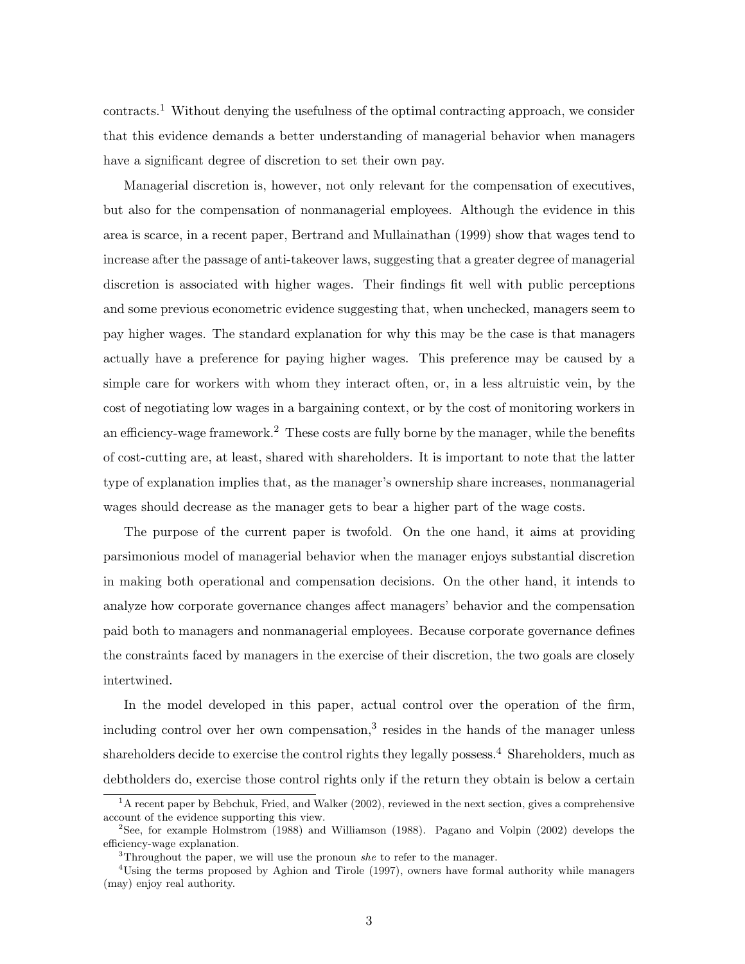contracts.<sup>1</sup> Without denying the usefulness of the optimal contracting approach, we consider that this evidence demands a better understanding of managerial behavior when managers have a significant degree of discretion to set their own pay.

Managerial discretion is, however, not only relevant for the compensation of executives, but also for the compensation of nonmanagerial employees. Although the evidence in this area is scarce, in a recent paper, Bertrand and Mullainathan (1999) show that wages tend to increase after the passage of anti-takeover laws, suggesting that a greater degree of managerial discretion is associated with higher wages. Their findings fit well with public perceptions and some previous econometric evidence suggesting that, when unchecked, managers seem to pay higher wages. The standard explanation for why this may be the case is that managers actually have a preference for paying higher wages. This preference may be caused by a simple care for workers with whom they interact often, or, in a less altruistic vein, by the cost of negotiating low wages in a bargaining context, or by the cost of monitoring workers in an efficiency-wage framework.<sup>2</sup> These costs are fully borne by the manager, while the benefits of cost-cutting are, at least, shared with shareholders. It is important to note that the latter type of explanation implies that, as the manager's ownership share increases, nonmanagerial wages should decrease as the manager gets to bear a higher part of the wage costs.

The purpose of the current paper is twofold. On the one hand, it aims at providing parsimonious model of managerial behavior when the manager enjoys substantial discretion in making both operational and compensation decisions. On the other hand, it intends to analyze how corporate governance changes affect managers' behavior and the compensation paid both to managers and nonmanagerial employees. Because corporate governance defines the constraints faced by managers in the exercise of their discretion, the two goals are closely intertwined.

In the model developed in this paper, actual control over the operation of the firm, including control over her own compensation,<sup>3</sup> resides in the hands of the manager unless shareholders decide to exercise the control rights they legally possess.<sup>4</sup> Shareholders, much as debtholders do, exercise those control rights only if the return they obtain is below a certain

 ${}^{1}$ A recent paper by Bebchuk, Fried, and Walker (2002), reviewed in the next section, gives a comprehensive account of the evidence supporting this view.

<sup>2</sup>See, for example Holmstrom (1988) and Williamson (1988). Pagano and Volpin (2002) develops the efficiency-wage explanation.

 $3$ Throughout the paper, we will use the pronoun she to refer to the manager.

<sup>&</sup>lt;sup>4</sup>Using the terms proposed by Aghion and Tirole (1997), owners have formal authority while managers (may) enjoy real authority.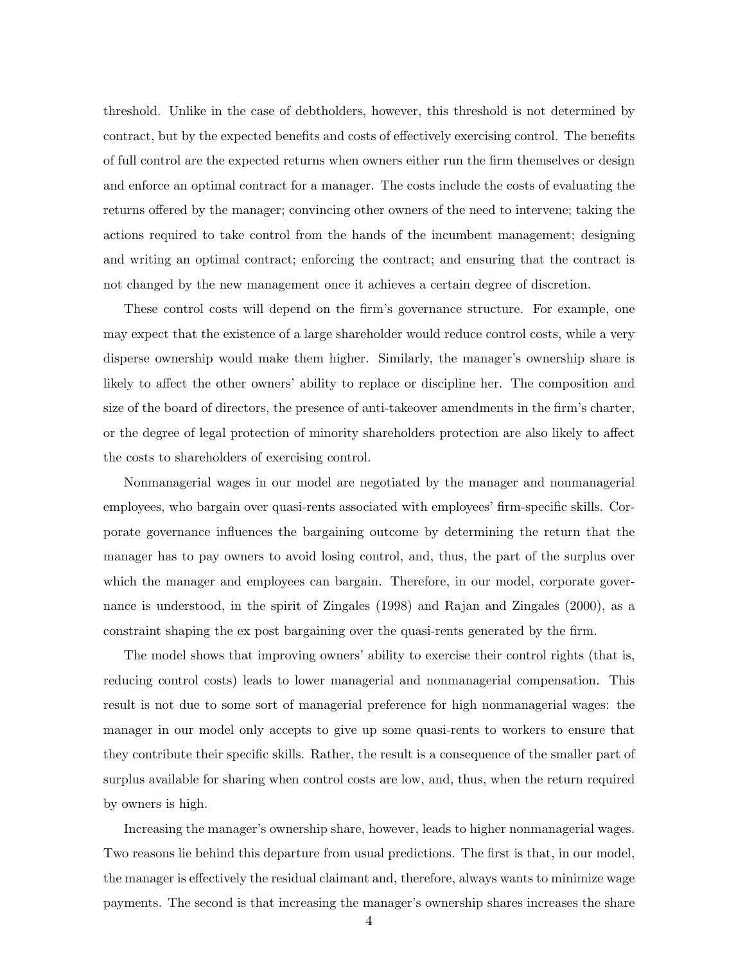threshold. Unlike in the case of debtholders, however, this threshold is not determined by contract, but by the expected benefits and costs of effectively exercising control. The benefits of full control are the expected returns when owners either run the firm themselves or design and enforce an optimal contract for a manager. The costs include the costs of evaluating the returns offered by the manager; convincing other owners of the need to intervene; taking the actions required to take control from the hands of the incumbent management; designing and writing an optimal contract; enforcing the contract; and ensuring that the contract is not changed by the new management once it achieves a certain degree of discretion.

These control costs will depend on the firm's governance structure. For example, one may expect that the existence of a large shareholder would reduce control costs, while a very disperse ownership would make them higher. Similarly, the manager's ownership share is likely to affect the other owners' ability to replace or discipline her. The composition and size of the board of directors, the presence of anti-takeover amendments in the firm's charter, or the degree of legal protection of minority shareholders protection are also likely to affect the costs to shareholders of exercising control.

Nonmanagerial wages in our model are negotiated by the manager and nonmanagerial employees, who bargain over quasi-rents associated with employees' firm-specific skills. Corporate governance influences the bargaining outcome by determining the return that the manager has to pay owners to avoid losing control, and, thus, the part of the surplus over which the manager and employees can bargain. Therefore, in our model, corporate governance is understood, in the spirit of Zingales (1998) and Rajan and Zingales (2000), as a constraint shaping the ex post bargaining over the quasi-rents generated by the firm.

The model shows that improving owners' ability to exercise their control rights (that is, reducing control costs) leads to lower managerial and nonmanagerial compensation. This result is not due to some sort of managerial preference for high nonmanagerial wages: the manager in our model only accepts to give up some quasi-rents to workers to ensure that they contribute their specific skills. Rather, the result is a consequence of the smaller part of surplus available for sharing when control costs are low, and, thus, when the return required by owners is high.

Increasing the manager's ownership share, however, leads to higher nonmanagerial wages. Two reasons lie behind this departure from usual predictions. The first is that, in our model, the manager is effectively the residual claimant and, therefore, always wants to minimize wage payments. The second is that increasing the manager's ownership shares increases the share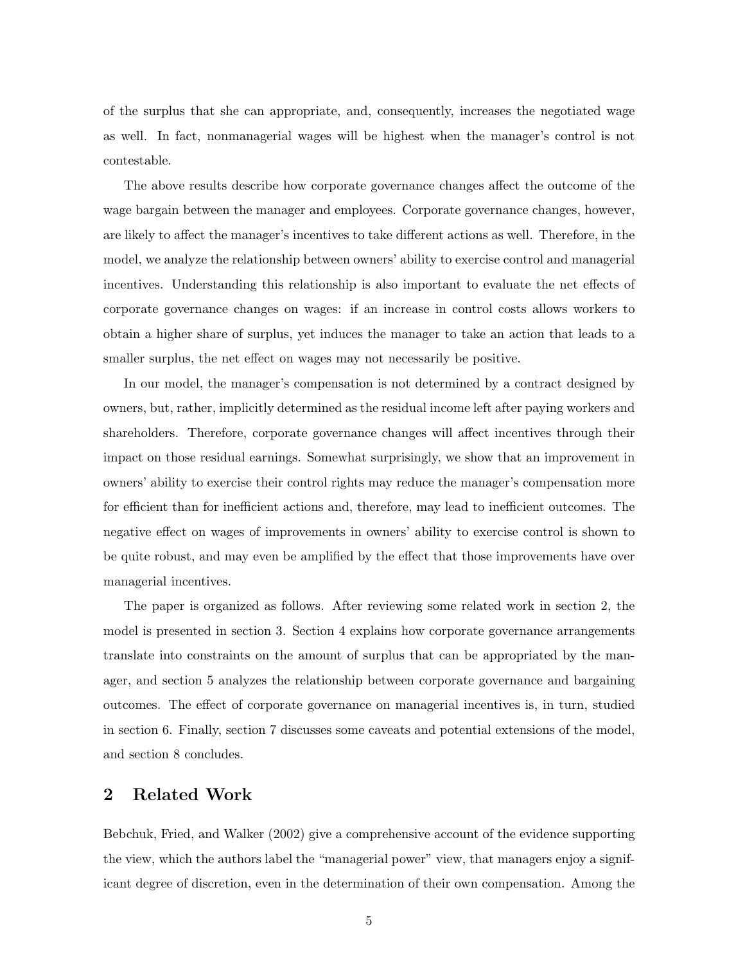of the surplus that she can appropriate, and, consequently, increases the negotiated wage as well. In fact, nonmanagerial wages will be highest when the manager's control is not contestable.

The above results describe how corporate governance changes affect the outcome of the wage bargain between the manager and employees. Corporate governance changes, however, are likely to affect the manager's incentives to take different actions as well. Therefore, in the model, we analyze the relationship between owners' ability to exercise control and managerial incentives. Understanding this relationship is also important to evaluate the net effects of corporate governance changes on wages: if an increase in control costs allows workers to obtain a higher share of surplus, yet induces the manager to take an action that leads to a smaller surplus, the net effect on wages may not necessarily be positive.

In our model, the manager's compensation is not determined by a contract designed by owners, but, rather, implicitly determined as the residual income left after paying workers and shareholders. Therefore, corporate governance changes will affect incentives through their impact on those residual earnings. Somewhat surprisingly, we show that an improvement in owners' ability to exercise their control rights may reduce the manager's compensation more for efficient than for inefficient actions and, therefore, may lead to inefficient outcomes. The negative effect on wages of improvements in owners' ability to exercise control is shown to be quite robust, and may even be amplified by the effect that those improvements have over managerial incentives.

The paper is organized as follows. After reviewing some related work in section 2, the model is presented in section 3. Section 4 explains how corporate governance arrangements translate into constraints on the amount of surplus that can be appropriated by the manager, and section 5 analyzes the relationship between corporate governance and bargaining outcomes. The effect of corporate governance on managerial incentives is, in turn, studied in section 6. Finally, section 7 discusses some caveats and potential extensions of the model, and section 8 concludes.

#### 2 Related Work

Bebchuk, Fried, and Walker (2002) give a comprehensive account of the evidence supporting the view, which the authors label the "managerial power" view, that managers enjoy a significant degree of discretion, even in the determination of their own compensation. Among the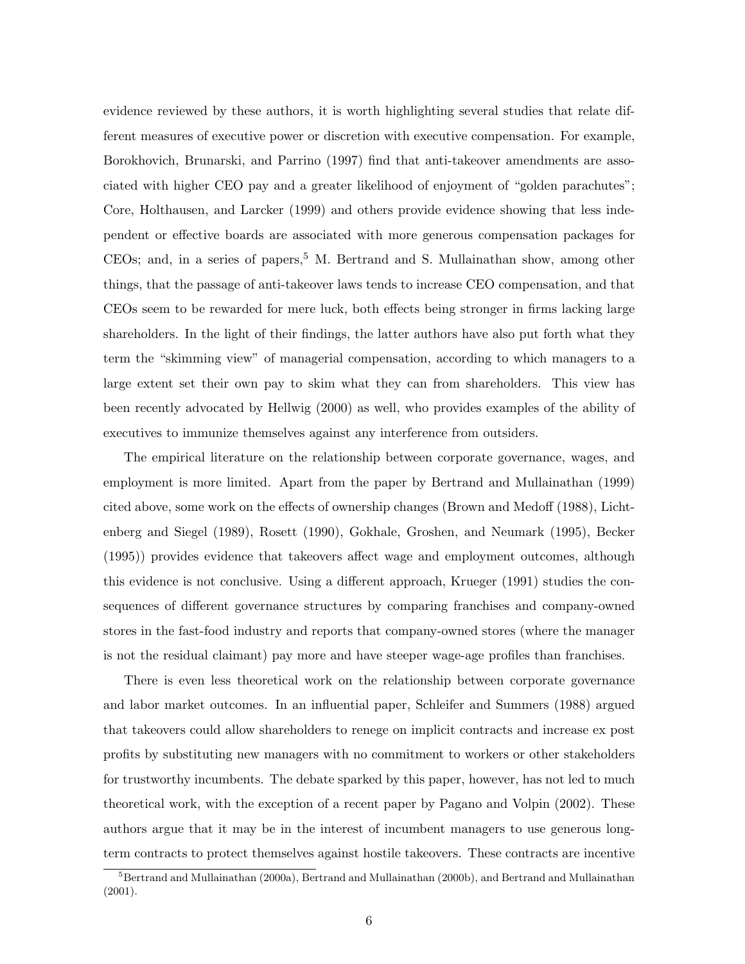evidence reviewed by these authors, it is worth highlighting several studies that relate different measures of executive power or discretion with executive compensation. For example, Borokhovich, Brunarski, and Parrino (1997) find that anti-takeover amendments are associated with higher CEO pay and a greater likelihood of enjoyment of "golden parachutes"; Core, Holthausen, and Larcker (1999) and others provide evidence showing that less independent or effective boards are associated with more generous compensation packages for  $CEOs$ ; and, in a series of papers,<sup>5</sup> M. Bertrand and S. Mullainathan show, among other things, that the passage of anti-takeover laws tends to increase CEO compensation, and that CEOs seem to be rewarded for mere luck, both effects being stronger in firms lacking large shareholders. In the light of their findings, the latter authors have also put forth what they term the "skimming view" of managerial compensation, according to which managers to a large extent set their own pay to skim what they can from shareholders. This view has been recently advocated by Hellwig (2000) as well, who provides examples of the ability of executives to immunize themselves against any interference from outsiders.

The empirical literature on the relationship between corporate governance, wages, and employment is more limited. Apart from the paper by Bertrand and Mullainathan (1999) cited above, some work on the effects of ownership changes (Brown and Medoff (1988), Lichtenberg and Siegel (1989), Rosett (1990), Gokhale, Groshen, and Neumark (1995), Becker (1995)) provides evidence that takeovers affect wage and employment outcomes, although this evidence is not conclusive. Using a different approach, Krueger (1991) studies the consequences of different governance structures by comparing franchises and company-owned stores in the fast-food industry and reports that company-owned stores (where the manager is not the residual claimant) pay more and have steeper wage-age profiles than franchises.

There is even less theoretical work on the relationship between corporate governance and labor market outcomes. In an influential paper, Schleifer and Summers (1988) argued that takeovers could allow shareholders to renege on implicit contracts and increase ex post profits by substituting new managers with no commitment to workers or other stakeholders for trustworthy incumbents. The debate sparked by this paper, however, has not led to much theoretical work, with the exception of a recent paper by Pagano and Volpin (2002). These authors argue that it may be in the interest of incumbent managers to use generous longterm contracts to protect themselves against hostile takeovers. These contracts are incentive

<sup>&</sup>lt;sup>5</sup>Bertrand and Mullainathan (2000a), Bertrand and Mullainathan (2000b), and Bertrand and Mullainathan (2001).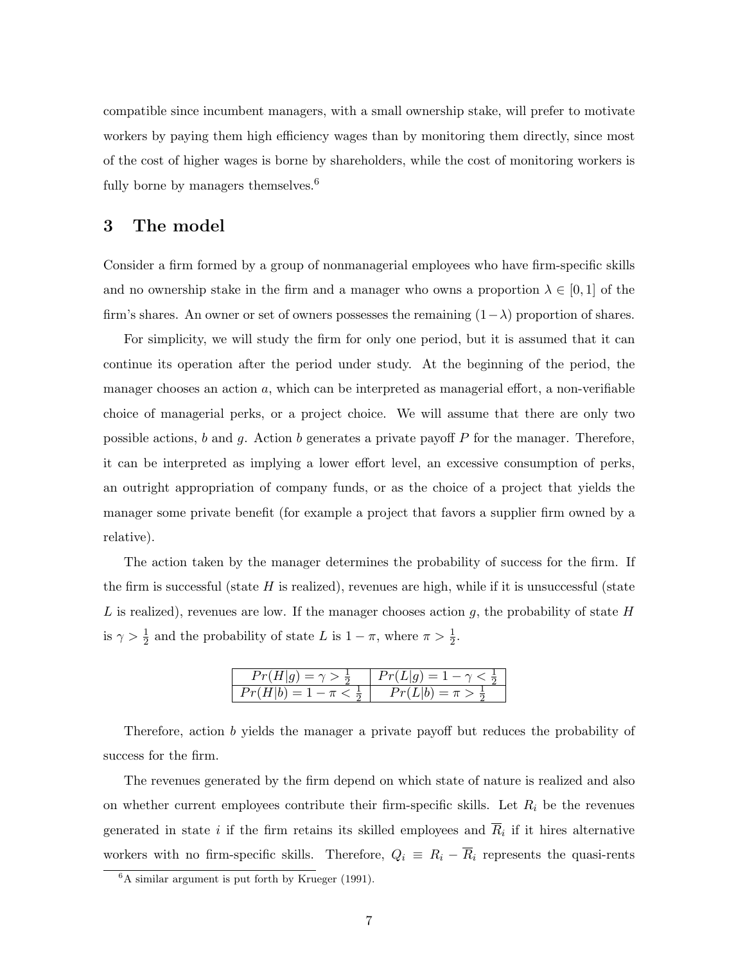compatible since incumbent managers, with a small ownership stake, will prefer to motivate workers by paying them high efficiency wages than by monitoring them directly, since most of the cost of higher wages is borne by shareholders, while the cost of monitoring workers is fully borne by managers themselves. $6$ 

#### 3 The model

Consider a firm formed by a group of nonmanagerial employees who have firm-specific skills and no ownership stake in the firm and a manager who owns a proportion  $\lambda \in [0,1]$  of the firm's shares. An owner or set of owners possesses the remaining  $(1-\lambda)$  proportion of shares.

For simplicity, we will study the firm for only one period, but it is assumed that it can continue its operation after the period under study. At the beginning of the period, the manager chooses an action  $a$ , which can be interpreted as managerial effort, a non-verifiable choice of managerial perks, or a project choice. We will assume that there are only two possible actions,  $b$  and  $g$ . Action  $b$  generates a private payoff  $P$  for the manager. Therefore, it can be interpreted as implying a lower effort level, an excessive consumption of perks, an outright appropriation of company funds, or as the choice of a project that yields the manager some private benefit (for example a project that favors a supplier firm owned by a relative).

The action taken by the manager determines the probability of success for the firm. If the firm is successful (state  $H$  is realized), revenues are high, while if it is unsuccessful (state L is realized), revenues are low. If the manager chooses action g, the probability of state  $H$ is  $\gamma > \frac{1}{2}$  and the probability of state L is  $1 - \pi$ , where  $\pi > \frac{1}{2}$ .

| $Pr(H g) = \gamma > \frac{1}{2}$ | $Pr(L g) = 1 - \gamma$        |
|----------------------------------|-------------------------------|
| $Pr(H b) = 1 - \pi <$            | $Pr(L b) = \pi > \frac{1}{2}$ |

Therefore, action b yields the manager a private payoff but reduces the probability of success for the firm.

The revenues generated by the firm depend on which state of nature is realized and also on whether current employees contribute their firm-specific skills. Let  $R_i$  be the revenues generated in state i if the firm retains its skilled employees and  $\overline{R}_i$  if it hires alternative workers with no firm-specific skills. Therefore,  $Q_i \equiv R_i - \overline{R}_i$  represents the quasi-rents

 ${}^{6}$ A similar argument is put forth by Krueger (1991).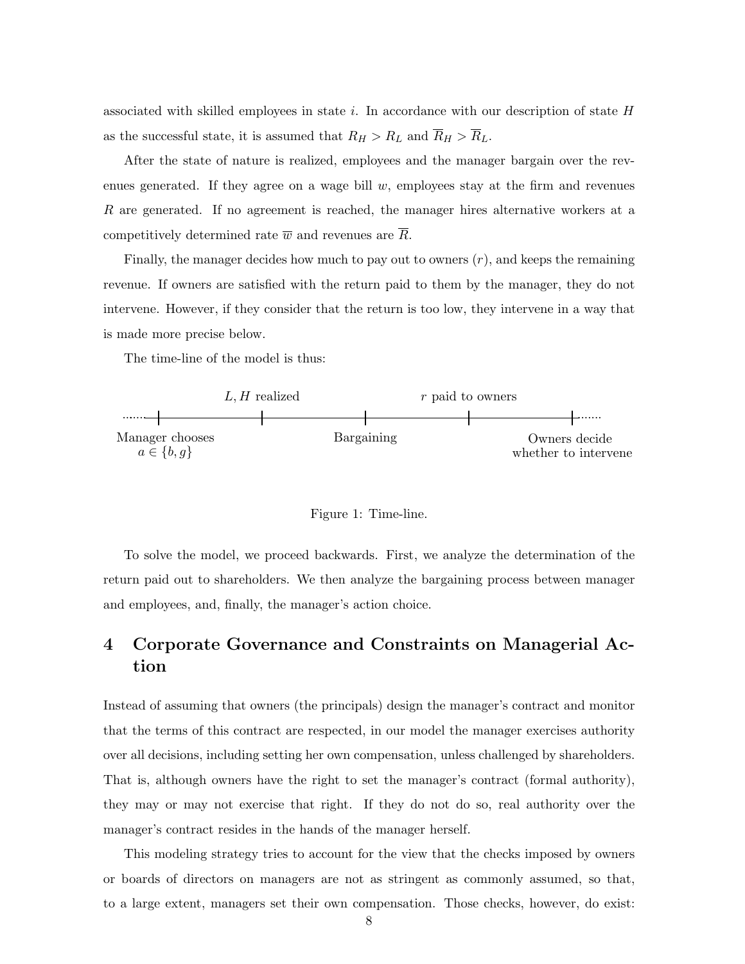associated with skilled employees in state i. In accordance with our description of state  $H$ as the successful state, it is assumed that  $R_H > R_L$  and  $\overline{R}_H > \overline{R}_L$ .

After the state of nature is realized, employees and the manager bargain over the revenues generated. If they agree on a wage bill  $w$ , employees stay at the firm and revenues R are generated. If no agreement is reached, the manager hires alternative workers at a competitively determined rate  $\overline{w}$  and revenues are  $\overline{R}$ .

Finally, the manager decides how much to pay out to owners  $(r)$ , and keeps the remaining revenue. If owners are satisfied with the return paid to them by the manager, they do not intervene. However, if they consider that the return is too low, they intervene in a way that is made more precise below.

The time-line of the model is thus:



Figure 1: Time-line.

To solve the model, we proceed backwards. First, we analyze the determination of the return paid out to shareholders. We then analyze the bargaining process between manager and employees, and, finally, the manager's action choice.

# 4 Corporate Governance and Constraints on Managerial Action

Instead of assuming that owners (the principals) design the manager's contract and monitor that the terms of this contract are respected, in our model the manager exercises authority over all decisions, including setting her own compensation, unless challenged by shareholders. That is, although owners have the right to set the manager's contract (formal authority), they may or may not exercise that right. If they do not do so, real authority over the manager's contract resides in the hands of the manager herself.

This modeling strategy tries to account for the view that the checks imposed by owners or boards of directors on managers are not as stringent as commonly assumed, so that, to a large extent, managers set their own compensation. Those checks, however, do exist: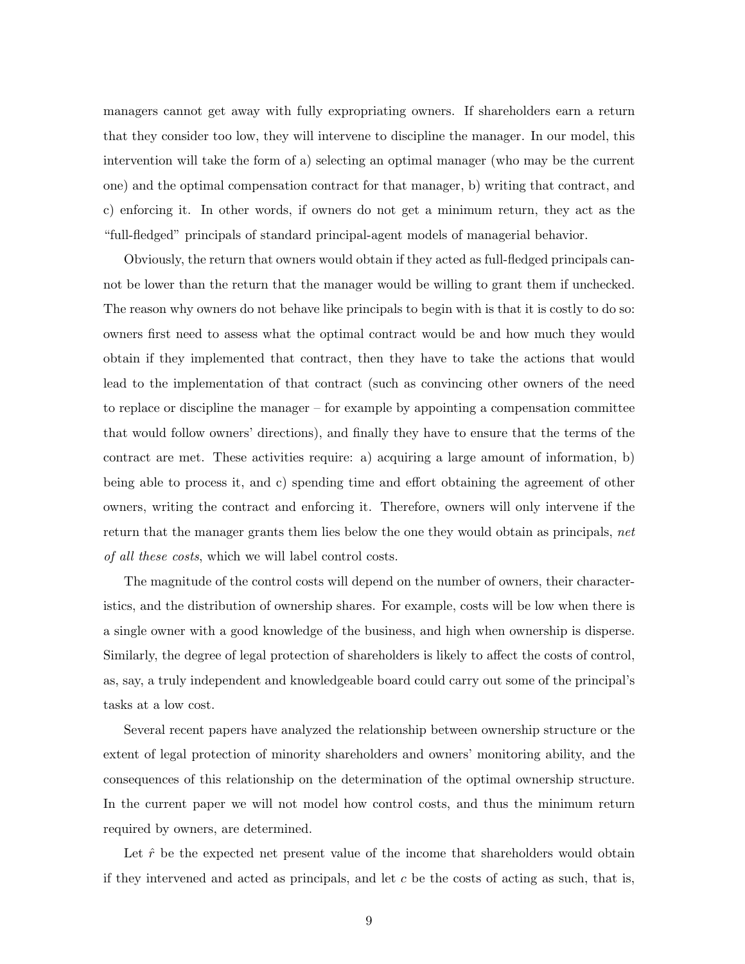managers cannot get away with fully expropriating owners. If shareholders earn a return that they consider too low, they will intervene to discipline the manager. In our model, this intervention will take the form of a) selecting an optimal manager (who may be the current one) and the optimal compensation contract for that manager, b) writing that contract, and c) enforcing it. In other words, if owners do not get a minimum return, they act as the "full-fledged" principals of standard principal-agent models of managerial behavior.

Obviously, the return that owners would obtain if they acted as full-fledged principals cannot be lower than the return that the manager would be willing to grant them if unchecked. The reason why owners do not behave like principals to begin with is that it is costly to do so: owners first need to assess what the optimal contract would be and how much they would obtain if they implemented that contract, then they have to take the actions that would lead to the implementation of that contract (such as convincing other owners of the need to replace or discipline the manager – for example by appointing a compensation committee that would follow owners' directions), and finally they have to ensure that the terms of the contract are met. These activities require: a) acquiring a large amount of information, b) being able to process it, and c) spending time and effort obtaining the agreement of other owners, writing the contract and enforcing it. Therefore, owners will only intervene if the return that the manager grants them lies below the one they would obtain as principals, net of all these costs, which we will label control costs.

The magnitude of the control costs will depend on the number of owners, their characteristics, and the distribution of ownership shares. For example, costs will be low when there is a single owner with a good knowledge of the business, and high when ownership is disperse. Similarly, the degree of legal protection of shareholders is likely to affect the costs of control, as, say, a truly independent and knowledgeable board could carry out some of the principal's tasks at a low cost.

Several recent papers have analyzed the relationship between ownership structure or the extent of legal protection of minority shareholders and owners' monitoring ability, and the consequences of this relationship on the determination of the optimal ownership structure. In the current paper we will not model how control costs, and thus the minimum return required by owners, are determined.

Let  $\hat{r}$  be the expected net present value of the income that shareholders would obtain if they intervened and acted as principals, and let  $c$  be the costs of acting as such, that is,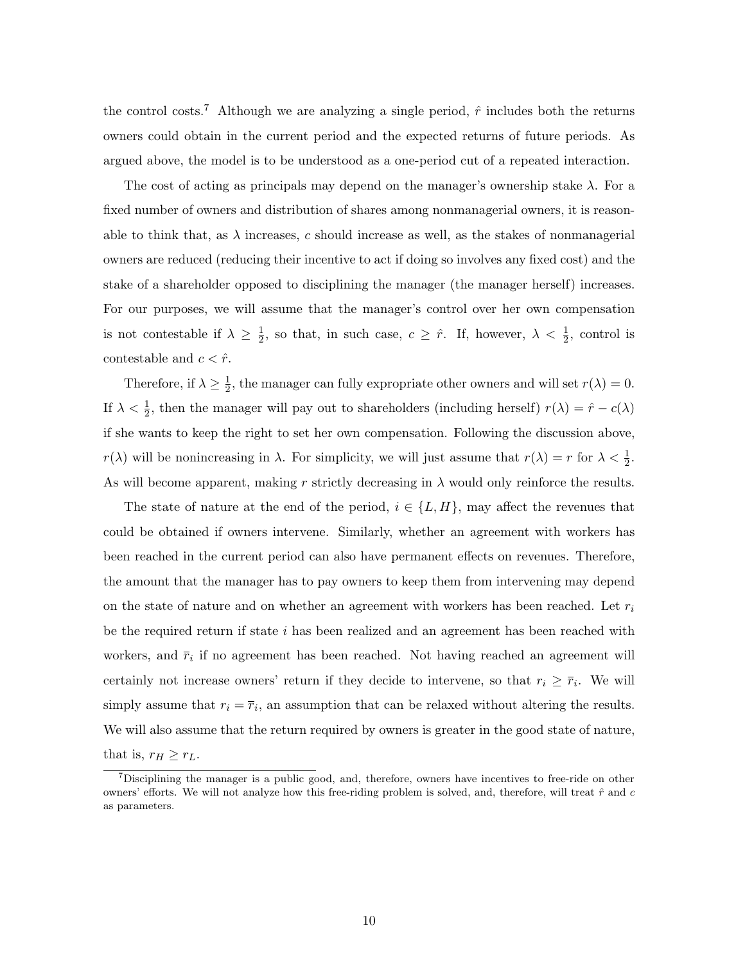the control costs.<sup>7</sup> Although we are analyzing a single period,  $\hat{r}$  includes both the returns owners could obtain in the current period and the expected returns of future periods. As argued above, the model is to be understood as a one-period cut of a repeated interaction.

The cost of acting as principals may depend on the manager's ownership stake  $\lambda$ . For a fixed number of owners and distribution of shares among nonmanagerial owners, it is reasonable to think that, as  $\lambda$  increases, c should increase as well, as the stakes of nonmanagerial owners are reduced (reducing their incentive to act if doing so involves any fixed cost) and the stake of a shareholder opposed to disciplining the manager (the manager herself) increases. For our purposes, we will assume that the manager's control over her own compensation is not contestable if  $\lambda \geq \frac{1}{2}$  $\frac{1}{2}$ , so that, in such case,  $c \geq \hat{r}$ . If, however,  $\lambda < \frac{1}{2}$ , control is contestable and  $c < \hat{r}$ .

Therefore, if  $\lambda \geq \frac{1}{2}$  $\frac{1}{2}$ , the manager can fully expropriate other owners and will set  $r(\lambda) = 0$ . If  $\lambda < \frac{1}{2}$ , then the manager will pay out to shareholders (including herself)  $r(\lambda) = \hat{r} - c(\lambda)$ if she wants to keep the right to set her own compensation. Following the discussion above,  $r(\lambda)$  will be nonincreasing in  $\lambda$ . For simplicity, we will just assume that  $r(\lambda) = r$  for  $\lambda < \frac{1}{2}$ . As will become apparent, making r strictly decreasing in  $\lambda$  would only reinforce the results.

The state of nature at the end of the period,  $i \in \{L, H\}$ , may affect the revenues that could be obtained if owners intervene. Similarly, whether an agreement with workers has been reached in the current period can also have permanent effects on revenues. Therefore, the amount that the manager has to pay owners to keep them from intervening may depend on the state of nature and on whether an agreement with workers has been reached. Let  $r_i$ be the required return if state  $i$  has been realized and an agreement has been reached with workers, and  $\bar{r}_i$  if no agreement has been reached. Not having reached an agreement will certainly not increase owners' return if they decide to intervene, so that  $r_i \geq \overline{r}_i$ . We will simply assume that  $r_i = \overline{r}_i$ , an assumption that can be relaxed without altering the results. We will also assume that the return required by owners is greater in the good state of nature,

that is,  $r_H \geq r_L$ .

<sup>&</sup>lt;sup>7</sup>Disciplining the manager is a public good, and, therefore, owners have incentives to free-ride on other owners' efforts. We will not analyze how this free-riding problem is solved, and, therefore, will treat  $\hat{r}$  and c as parameters.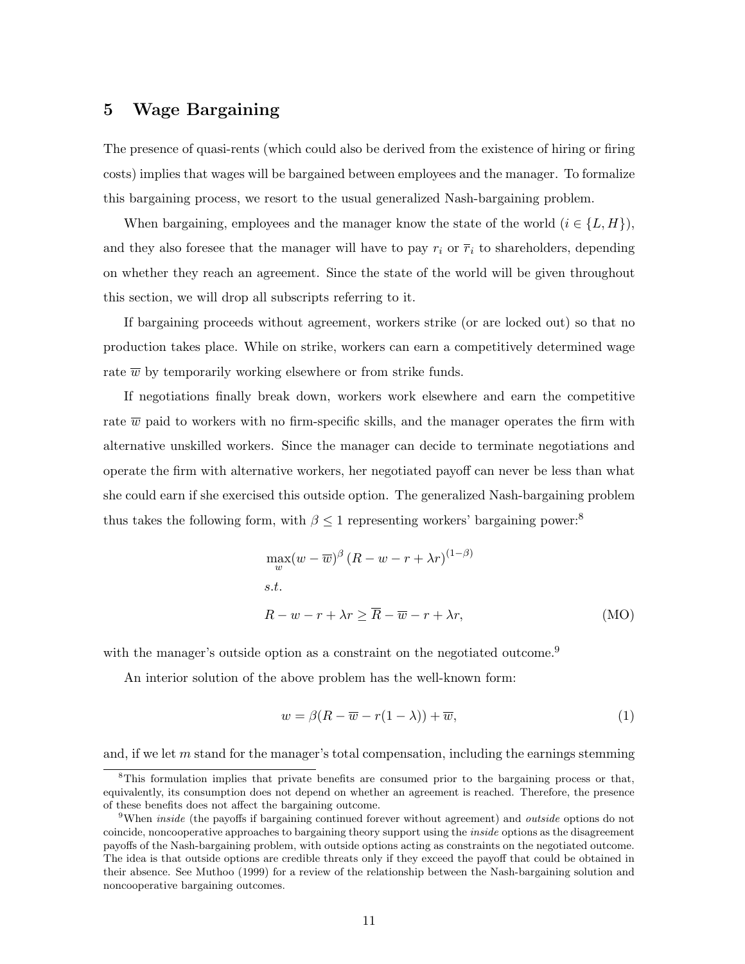#### 5 Wage Bargaining

The presence of quasi-rents (which could also be derived from the existence of hiring or firing costs) implies that wages will be bargained between employees and the manager. To formalize this bargaining process, we resort to the usual generalized Nash-bargaining problem.

When bargaining, employees and the manager know the state of the world  $(i \in \{L, H\})$ , and they also foresee that the manager will have to pay  $r_i$  or  $\overline{r}_i$  to shareholders, depending on whether they reach an agreement. Since the state of the world will be given throughout this section, we will drop all subscripts referring to it.

If bargaining proceeds without agreement, workers strike (or are locked out) so that no production takes place. While on strike, workers can earn a competitively determined wage rate  $\overline{w}$  by temporarily working elsewhere or from strike funds.

If negotiations finally break down, workers work elsewhere and earn the competitive rate  $\overline{w}$  paid to workers with no firm-specific skills, and the manager operates the firm with alternative unskilled workers. Since the manager can decide to terminate negotiations and operate the firm with alternative workers, her negotiated payoff can never be less than what she could earn if she exercised this outside option. The generalized Nash-bargaining problem thus takes the following form, with  $\beta \leq 1$  representing workers' bargaining power:<sup>8</sup>

$$
\max_{w} (w - \overline{w})^{\beta} (R - w - r + \lambda r)^{(1 - \beta)}
$$
  
s.t.  

$$
R - w - r + \lambda r \ge \overline{R} - \overline{w} - r + \lambda r,
$$
 (MO)

with the manager's outside option as a constraint on the negotiated outcome.<sup>9</sup>

An interior solution of the above problem has the well-known form:

$$
w = \beta(R - \overline{w} - r(1 - \lambda)) + \overline{w},\tag{1}
$$

and, if we let  $m$  stand for the manager's total compensation, including the earnings stemming

<sup>&</sup>lt;sup>8</sup>This formulation implies that private benefits are consumed prior to the bargaining process or that, equivalently, its consumption does not depend on whether an agreement is reached. Therefore, the presence of these benefits does not affect the bargaining outcome.

<sup>&</sup>lt;sup>9</sup>When *inside* (the payoffs if bargaining continued forever without agreement) and *outside* options do not coincide, noncooperative approaches to bargaining theory support using the inside options as the disagreement payoffs of the Nash-bargaining problem, with outside options acting as constraints on the negotiated outcome. The idea is that outside options are credible threats only if they exceed the payoff that could be obtained in their absence. See Muthoo (1999) for a review of the relationship between the Nash-bargaining solution and noncooperative bargaining outcomes.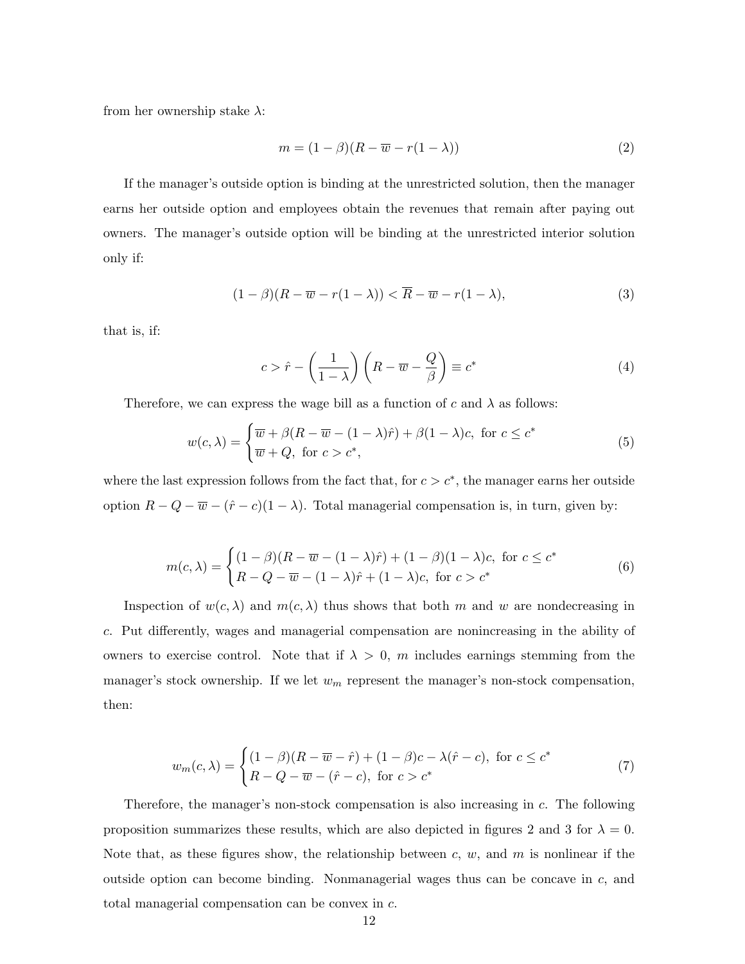from her ownership stake  $\lambda$ :

$$
m = (1 - \beta)(R - \overline{w} - r(1 - \lambda))
$$
\n<sup>(2)</sup>

If the manager's outside option is binding at the unrestricted solution, then the manager earns her outside option and employees obtain the revenues that remain after paying out owners. The manager's outside option will be binding at the unrestricted interior solution only if:

$$
(1 - \beta)(R - \overline{w} - r(1 - \lambda)) < \overline{R} - \overline{w} - r(1 - \lambda),\tag{3}
$$

that is, if:

$$
c > \hat{r} - \left(\frac{1}{1-\lambda}\right)\left(R - \overline{w} - \frac{Q}{\beta}\right) \equiv c^*
$$
\n(4)

Therefore, we can express the wage bill as a function of c and  $\lambda$  as follows:

$$
w(c,\lambda) = \begin{cases} \overline{w} + \beta (R - \overline{w} - (1 - \lambda)\hat{r}) + \beta (1 - \lambda)c, \text{ for } c \le c^* \\ \overline{w} + Q, \text{ for } c > c^*, \end{cases}
$$
(5)

where the last expression follows from the fact that, for  $c > c^*$ , the manager earns her outside option  $R - Q - \overline{w} - (\hat{r} - c)(1 - \lambda)$ . Total managerial compensation is, in turn, given by:

$$
m(c,\lambda) = \begin{cases} (1-\beta)(R-\overline{w}-(1-\lambda)\hat{r}) + (1-\beta)(1-\lambda)c, & \text{for } c \leq c^*\\ R-Q-\overline{w}-(1-\lambda)\hat{r}+(1-\lambda)c, & \text{for } c > c^* \end{cases}
$$
(6)

Inspection of  $w(c, \lambda)$  and  $m(c, \lambda)$  thus shows that both m and w are nondecreasing in c. Put differently, wages and managerial compensation are nonincreasing in the ability of owners to exercise control. Note that if  $\lambda > 0$ , m includes earnings stemming from the manager's stock ownership. If we let  $w_m$  represent the manager's non-stock compensation, then:

$$
w_m(c,\lambda) = \begin{cases} (1-\beta)(R-\overline{w}-\hat{r}) + (1-\beta)c - \lambda(\hat{r}-c), & \text{for } c \le c^*\\ R-Q-\overline{w}-(\hat{r}-c), & \text{for } c > c^* \end{cases}
$$
(7)

Therefore, the manager's non-stock compensation is also increasing in c. The following proposition summarizes these results, which are also depicted in figures 2 and 3 for  $\lambda = 0$ . Note that, as these figures show, the relationship between c, w, and m is nonlinear if the outside option can become binding. Nonmanagerial wages thus can be concave in  $c$ , and total managerial compensation can be convex in c.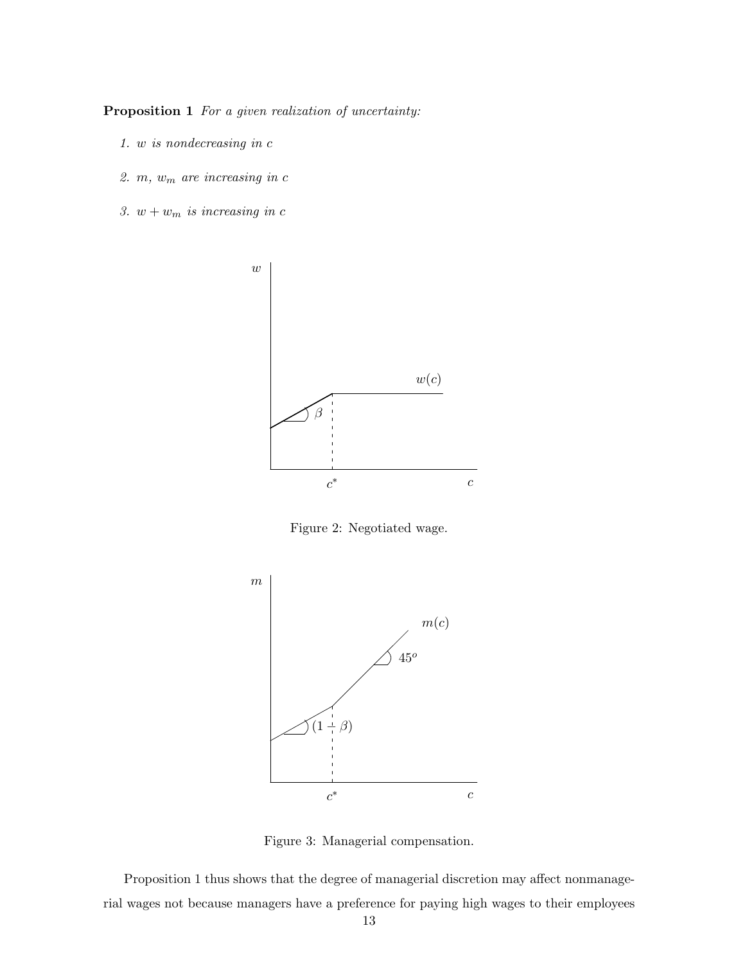Proposition 1 For a given realization of uncertainty:

- 1. w is nondecreasing in c
- 2.  $m, w_m$  are increasing in  $c$
- 3.  $w + w_m$  is increasing in c



Figure 2: Negotiated wage.



Figure 3: Managerial compensation.

Proposition 1 thus shows that the degree of managerial discretion may affect nonmanagerial wages not because managers have a preference for paying high wages to their employees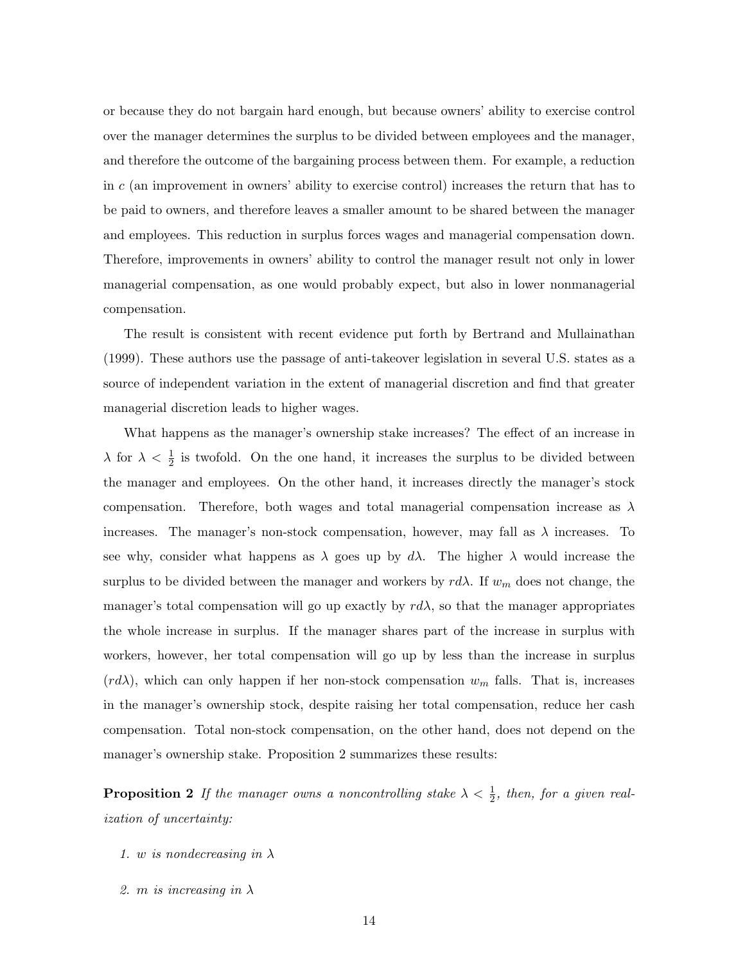or because they do not bargain hard enough, but because owners' ability to exercise control over the manager determines the surplus to be divided between employees and the manager, and therefore the outcome of the bargaining process between them. For example, a reduction in  $c$  (an improvement in owners' ability to exercise control) increases the return that has to be paid to owners, and therefore leaves a smaller amount to be shared between the manager and employees. This reduction in surplus forces wages and managerial compensation down. Therefore, improvements in owners' ability to control the manager result not only in lower managerial compensation, as one would probably expect, but also in lower nonmanagerial compensation.

The result is consistent with recent evidence put forth by Bertrand and Mullainathan (1999). These authors use the passage of anti-takeover legislation in several U.S. states as a source of independent variation in the extent of managerial discretion and find that greater managerial discretion leads to higher wages.

What happens as the manager's ownership stake increases? The effect of an increase in  $\lambda$  for  $\lambda < \frac{1}{2}$  is twofold. On the one hand, it increases the surplus to be divided between the manager and employees. On the other hand, it increases directly the manager's stock compensation. Therefore, both wages and total managerial compensation increase as  $\lambda$ increases. The manager's non-stock compensation, however, may fall as  $\lambda$  increases. To see why, consider what happens as  $\lambda$  goes up by  $d\lambda$ . The higher  $\lambda$  would increase the surplus to be divided between the manager and workers by  $r d\lambda$ . If  $w_m$  does not change, the manager's total compensation will go up exactly by  $r d\lambda$ , so that the manager appropriates the whole increase in surplus. If the manager shares part of the increase in surplus with workers, however, her total compensation will go up by less than the increase in surplus  $(r d\lambda)$ , which can only happen if her non-stock compensation  $w_m$  falls. That is, increases in the manager's ownership stock, despite raising her total compensation, reduce her cash compensation. Total non-stock compensation, on the other hand, does not depend on the manager's ownership stake. Proposition 2 summarizes these results:

**Proposition 2** If the manager owns a noncontrolling stake  $\lambda < \frac{1}{2}$ , then, for a given realization of uncertainty:

- 1. w is nondecreasing in  $\lambda$
- 2. m is increasing in  $\lambda$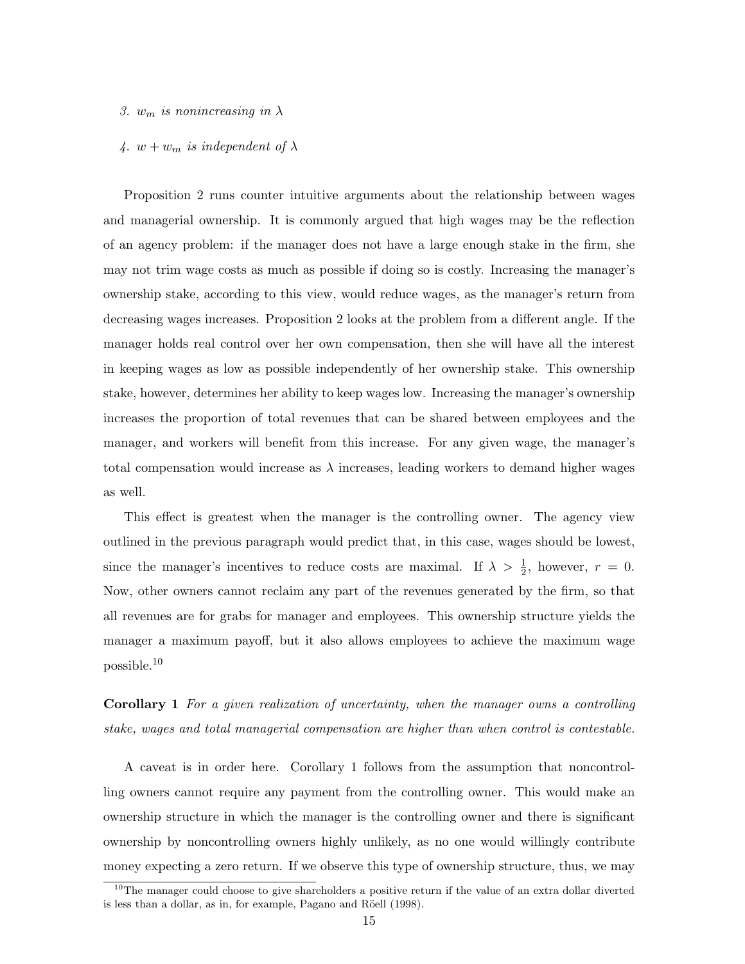- 3.  $w_m$  is nonincreasing in  $\lambda$
- 4.  $w + w_m$  is independent of  $\lambda$

Proposition 2 runs counter intuitive arguments about the relationship between wages and managerial ownership. It is commonly argued that high wages may be the reflection of an agency problem: if the manager does not have a large enough stake in the firm, she may not trim wage costs as much as possible if doing so is costly. Increasing the manager's ownership stake, according to this view, would reduce wages, as the manager's return from decreasing wages increases. Proposition 2 looks at the problem from a different angle. If the manager holds real control over her own compensation, then she will have all the interest in keeping wages as low as possible independently of her ownership stake. This ownership stake, however, determines her ability to keep wages low. Increasing the manager's ownership increases the proportion of total revenues that can be shared between employees and the manager, and workers will benefit from this increase. For any given wage, the manager's total compensation would increase as  $\lambda$  increases, leading workers to demand higher wages as well.

This effect is greatest when the manager is the controlling owner. The agency view outlined in the previous paragraph would predict that, in this case, wages should be lowest, since the manager's incentives to reduce costs are maximal. If  $\lambda > \frac{1}{2}$ , however,  $r = 0$ . Now, other owners cannot reclaim any part of the revenues generated by the firm, so that all revenues are for grabs for manager and employees. This ownership structure yields the manager a maximum payoff, but it also allows employees to achieve the maximum wage possible.<sup>10</sup>

Corollary 1 For a given realization of uncertainty, when the manager owns a controlling stake, wages and total managerial compensation are higher than when control is contestable.

A caveat is in order here. Corollary 1 follows from the assumption that noncontrolling owners cannot require any payment from the controlling owner. This would make an ownership structure in which the manager is the controlling owner and there is significant ownership by noncontrolling owners highly unlikely, as no one would willingly contribute money expecting a zero return. If we observe this type of ownership structure, thus, we may

 $10$ The manager could choose to give shareholders a positive return if the value of an extra dollar diverted is less than a dollar, as in, for example, Pagano and Röell (1998).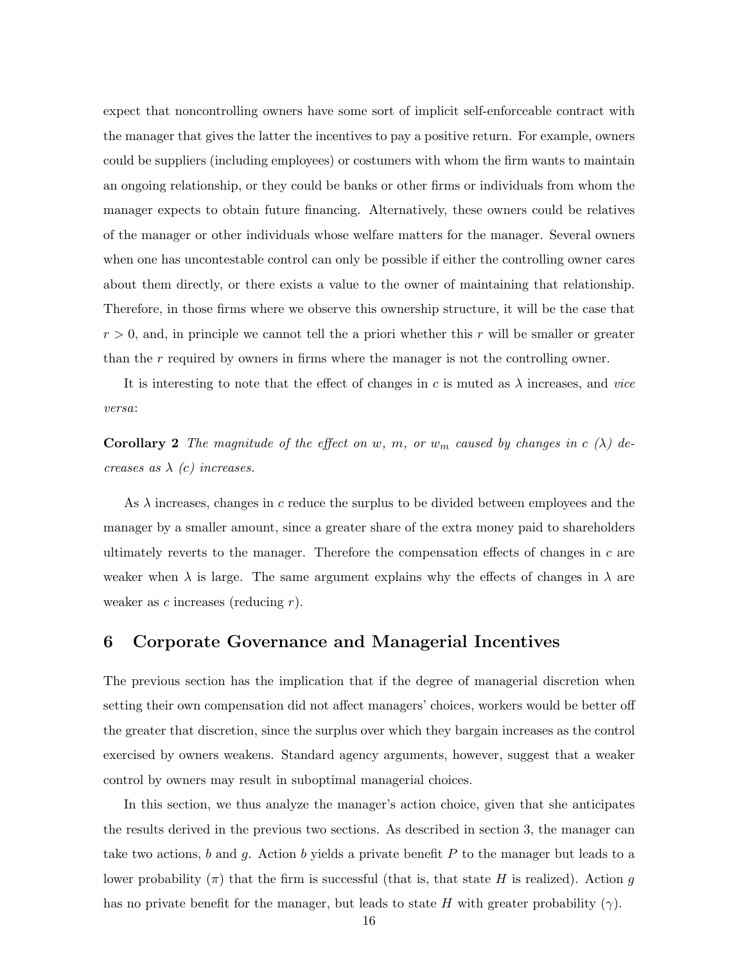expect that noncontrolling owners have some sort of implicit self-enforceable contract with the manager that gives the latter the incentives to pay a positive return. For example, owners could be suppliers (including employees) or costumers with whom the firm wants to maintain an ongoing relationship, or they could be banks or other firms or individuals from whom the manager expects to obtain future financing. Alternatively, these owners could be relatives of the manager or other individuals whose welfare matters for the manager. Several owners when one has uncontestable control can only be possible if either the controlling owner cares about them directly, or there exists a value to the owner of maintaining that relationship. Therefore, in those firms where we observe this ownership structure, it will be the case that  $r > 0$ , and, in principle we cannot tell the a priori whether this r will be smaller or greater than the r required by owners in firms where the manager is not the controlling owner.

It is interesting to note that the effect of changes in c is muted as  $\lambda$  increases, and vice versa:

**Corollary 2** The magnitude of the effect on w, m, or  $w_m$  caused by changes in c ( $\lambda$ ) decreases as  $\lambda$  (c) increases.

As  $\lambda$  increases, changes in c reduce the surplus to be divided between employees and the manager by a smaller amount, since a greater share of the extra money paid to shareholders ultimately reverts to the manager. Therefore the compensation effects of changes in  $c$  are weaker when  $\lambda$  is large. The same argument explains why the effects of changes in  $\lambda$  are weaker as  $c$  increases (reducing  $r$ ).

#### 6 Corporate Governance and Managerial Incentives

The previous section has the implication that if the degree of managerial discretion when setting their own compensation did not affect managers' choices, workers would be better off the greater that discretion, since the surplus over which they bargain increases as the control exercised by owners weakens. Standard agency arguments, however, suggest that a weaker control by owners may result in suboptimal managerial choices.

In this section, we thus analyze the manager's action choice, given that she anticipates the results derived in the previous two sections. As described in section 3, the manager can take two actions,  $b$  and  $g$ . Action  $b$  yields a private benefit  $P$  to the manager but leads to a lower probability  $(\pi)$  that the firm is successful (that is, that state H is realized). Action g has no private benefit for the manager, but leads to state H with greater probability  $(\gamma)$ .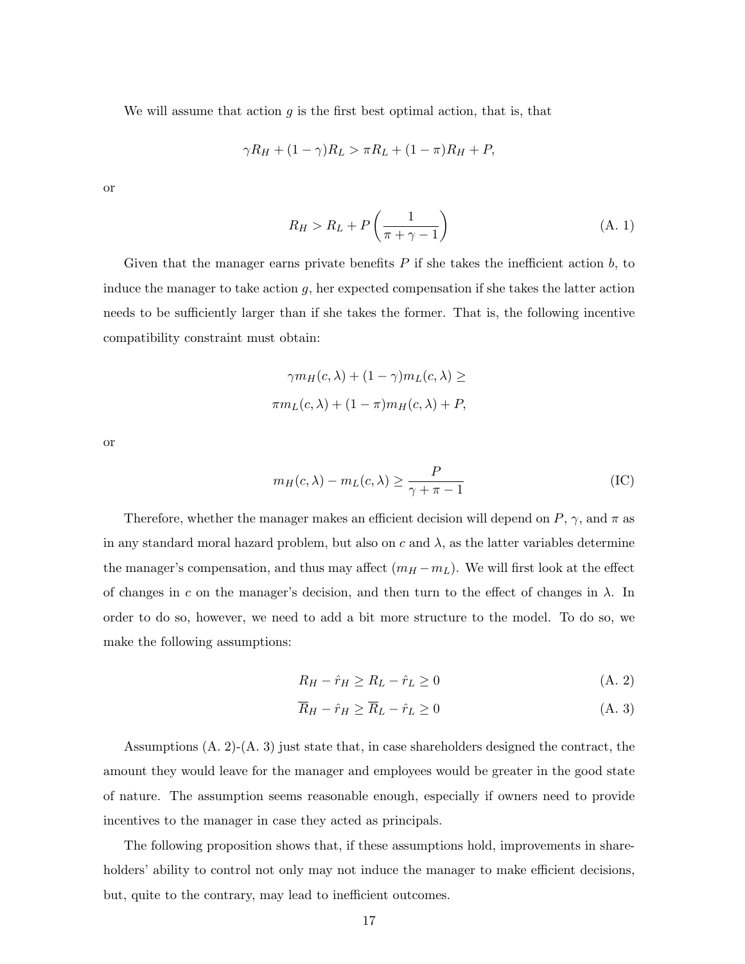We will assume that action  $g$  is the first best optimal action, that is, that

$$
\gamma R_H + (1 - \gamma)R_L > \pi R_L + (1 - \pi)R_H + P,
$$

or

$$
R_H > R_L + P\left(\frac{1}{\pi + \gamma - 1}\right) \tag{A. 1}
$$

Given that the manager earns private benefits  $P$  if she takes the inefficient action  $b$ , to induce the manager to take action  $q$ , her expected compensation if she takes the latter action needs to be sufficiently larger than if she takes the former. That is, the following incentive compatibility constraint must obtain:

$$
\gamma m_H(c, \lambda) + (1 - \gamma) m_L(c, \lambda) \ge
$$
  

$$
\pi m_L(c, \lambda) + (1 - \pi) m_H(c, \lambda) + P,
$$

or

$$
m_H(c,\lambda) - m_L(c,\lambda) \ge \frac{P}{\gamma + \pi - 1}
$$
 (IC)

Therefore, whether the manager makes an efficient decision will depend on  $P$ ,  $\gamma$ , and  $\pi$  as in any standard moral hazard problem, but also on c and  $\lambda$ , as the latter variables determine the manager's compensation, and thus may affect  $(m_H - m_L)$ . We will first look at the effect of changes in c on the manager's decision, and then turn to the effect of changes in  $\lambda$ . In order to do so, however, we need to add a bit more structure to the model. To do so, we make the following assumptions:

$$
R_H - \hat{r}_H \ge R_L - \hat{r}_L \ge 0 \tag{A.2}
$$

$$
\overline{R}_H - \hat{r}_H \ge \overline{R}_L - \hat{r}_L \ge 0 \tag{A. 3}
$$

Assumptions (A. 2)-(A. 3) just state that, in case shareholders designed the contract, the amount they would leave for the manager and employees would be greater in the good state of nature. The assumption seems reasonable enough, especially if owners need to provide incentives to the manager in case they acted as principals.

The following proposition shows that, if these assumptions hold, improvements in shareholders' ability to control not only may not induce the manager to make efficient decisions, but, quite to the contrary, may lead to inefficient outcomes.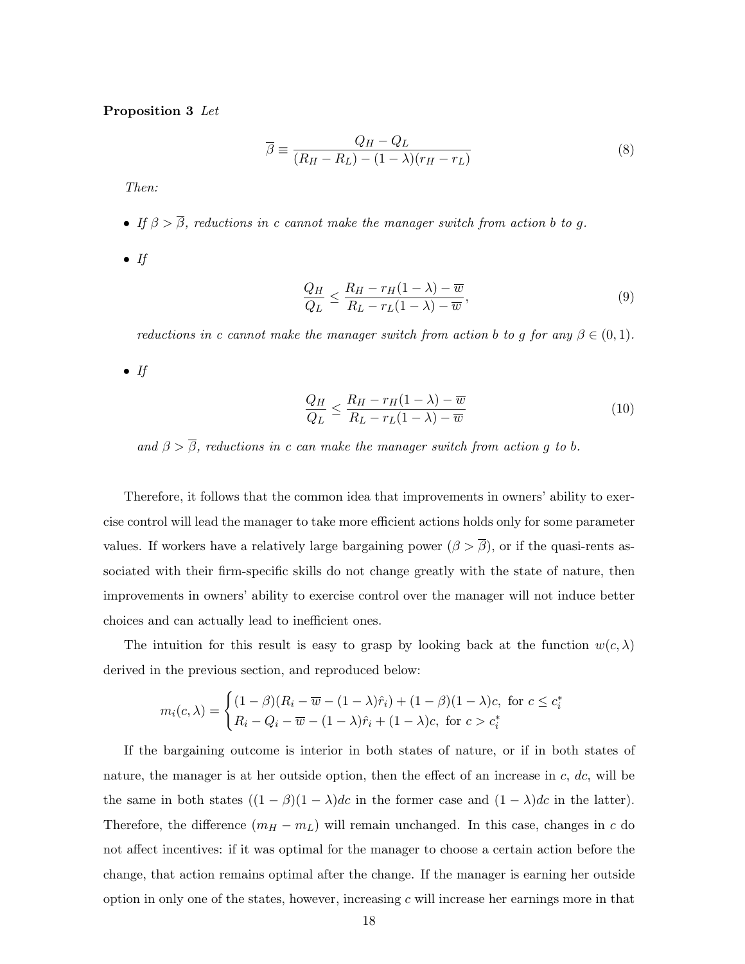Proposition 3 Let

$$
\overline{\beta} \equiv \frac{Q_H - Q_L}{(R_H - R_L) - (1 - \lambda)(r_H - r_L)}\tag{8}
$$

Then:

- If  $\beta > \overline{\beta}$ , reductions in c cannot make the manager switch from action b to g.
- $\bullet$  If

$$
\frac{Q_H}{Q_L} \le \frac{R_H - r_H(1 - \lambda) - \overline{w}}{R_L - r_L(1 - \lambda) - \overline{w}},\tag{9}
$$

reductions in c cannot make the manager switch from action b to g for any  $\beta \in (0,1)$ .

 $\bullet$  If

$$
\frac{Q_H}{Q_L} \le \frac{R_H - r_H(1 - \lambda) - \overline{w}}{R_L - r_L(1 - \lambda) - \overline{w}}\tag{10}
$$

and  $\beta > \overline{\beta}$ , reductions in c can make the manager switch from action g to b.

Therefore, it follows that the common idea that improvements in owners' ability to exercise control will lead the manager to take more efficient actions holds only for some parameter values. If workers have a relatively large bargaining power  $(\beta > \overline{\beta})$ , or if the quasi-rents associated with their firm-specific skills do not change greatly with the state of nature, then improvements in owners' ability to exercise control over the manager will not induce better choices and can actually lead to inefficient ones.

The intuition for this result is easy to grasp by looking back at the function  $w(c, \lambda)$ derived in the previous section, and reproduced below:

$$
m_i(c,\lambda) = \begin{cases} (1-\beta)(R_i - \overline{w} - (1-\lambda)\hat{r}_i) + (1-\beta)(1-\lambda)c, & \text{for } c \leq c_i^* \\ R_i - Q_i - \overline{w} - (1-\lambda)\hat{r}_i + (1-\lambda)c, & \text{for } c > c_i^* \end{cases}
$$

If the bargaining outcome is interior in both states of nature, or if in both states of nature, the manager is at her outside option, then the effect of an increase in  $c, dc$ , will be the same in both states  $((1 - \beta)(1 - \lambda)dc$  in the former case and  $(1 - \lambda)dc$  in the latter). Therefore, the difference  $(m_H - m_L)$  will remain unchanged. In this case, changes in c do not affect incentives: if it was optimal for the manager to choose a certain action before the change, that action remains optimal after the change. If the manager is earning her outside option in only one of the states, however, increasing  $c$  will increase her earnings more in that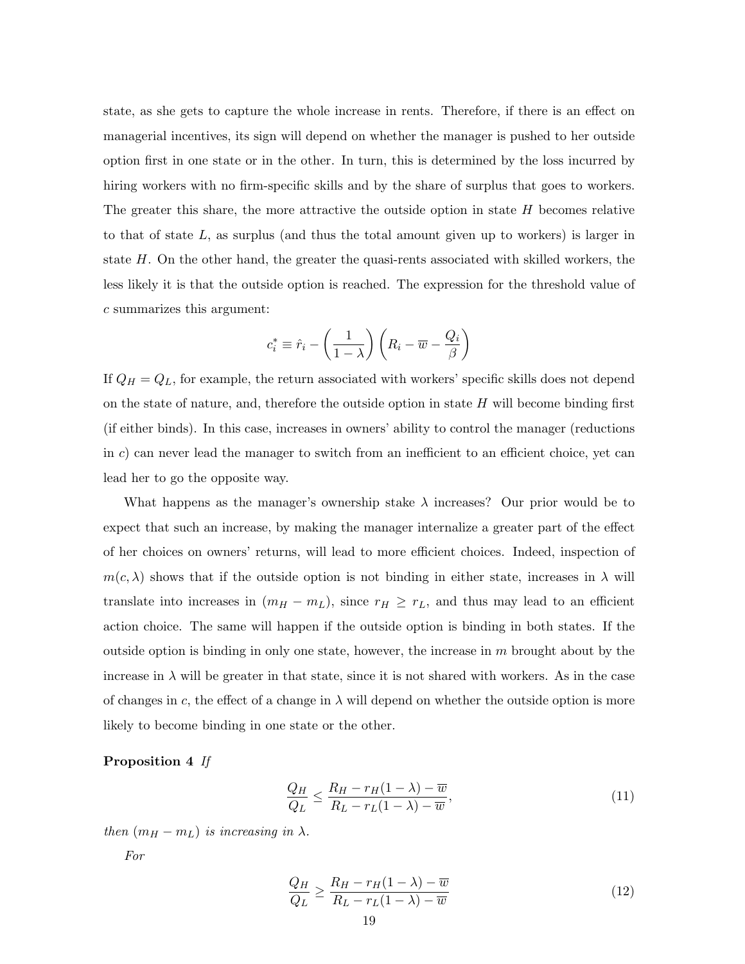state, as she gets to capture the whole increase in rents. Therefore, if there is an effect on managerial incentives, its sign will depend on whether the manager is pushed to her outside option first in one state or in the other. In turn, this is determined by the loss incurred by hiring workers with no firm-specific skills and by the share of surplus that goes to workers. The greater this share, the more attractive the outside option in state  $H$  becomes relative to that of state  $L$ , as surplus (and thus the total amount given up to workers) is larger in state H. On the other hand, the greater the quasi-rents associated with skilled workers, the less likely it is that the outside option is reached. The expression for the threshold value of c summarizes this argument:

$$
c_i^* \equiv \hat{r}_i - \left(\frac{1}{1-\lambda}\right) \left(R_i - \overline{w} - \frac{Q_i}{\beta}\right)
$$

If  $Q_H = Q_L$ , for example, the return associated with workers' specific skills does not depend on the state of nature, and, therefore the outside option in state  $H$  will become binding first (if either binds). In this case, increases in owners' ability to control the manager (reductions in  $c$ ) can never lead the manager to switch from an inefficient to an efficient choice, yet can lead her to go the opposite way.

What happens as the manager's ownership stake  $\lambda$  increases? Our prior would be to expect that such an increase, by making the manager internalize a greater part of the effect of her choices on owners' returns, will lead to more efficient choices. Indeed, inspection of  $m(c, \lambda)$  shows that if the outside option is not binding in either state, increases in  $\lambda$  will translate into increases in  $(m_H - m_L)$ , since  $r_H \geq r_L$ , and thus may lead to an efficient action choice. The same will happen if the outside option is binding in both states. If the outside option is binding in only one state, however, the increase in  $m$  brought about by the increase in  $\lambda$  will be greater in that state, since it is not shared with workers. As in the case of changes in c, the effect of a change in  $\lambda$  will depend on whether the outside option is more likely to become binding in one state or the other.

#### Proposition 4 If

$$
\frac{Q_H}{Q_L} \le \frac{R_H - r_H(1 - \lambda) - \overline{w}}{R_L - r_L(1 - \lambda) - \overline{w}},\tag{11}
$$

then  $(m_H - m_L)$  is increasing in  $\lambda$ .

For

$$
\frac{Q_H}{Q_L} \ge \frac{R_H - r_H(1 - \lambda) - \overline{w}}{R_L - r_L(1 - \lambda) - \overline{w}}
$$
\n(12)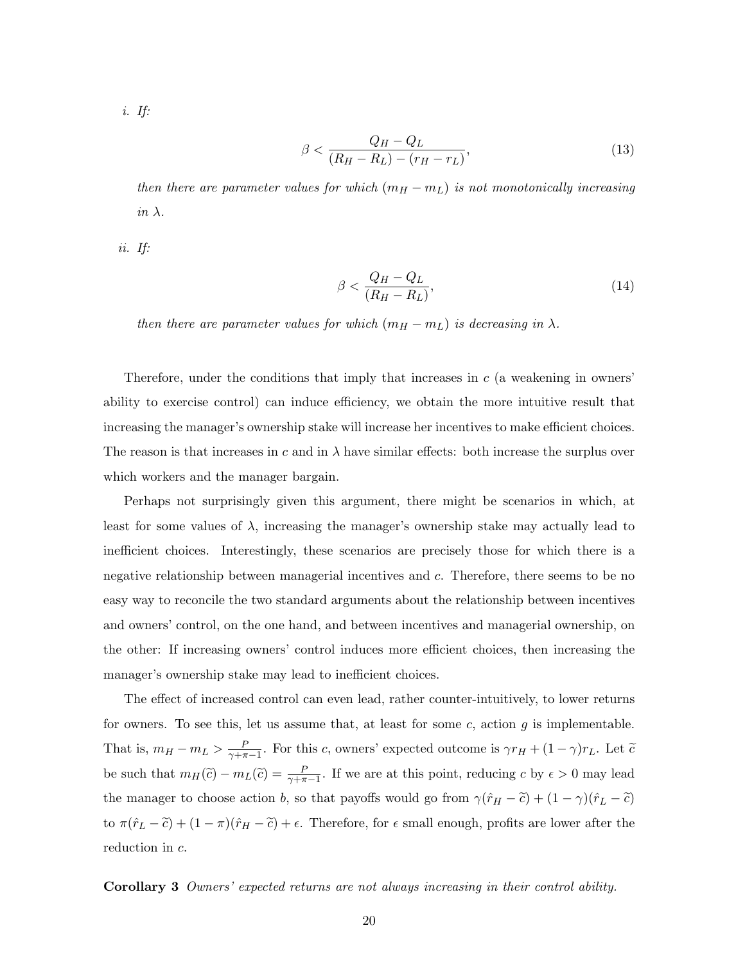i. If:

$$
\beta < \frac{Q_H - Q_L}{(R_H - R_L) - (r_H - r_L)},\tag{13}
$$

then there are parameter values for which  $(m_H - m_L)$  is not monotonically increasing in  $\lambda$ .

ii. If:

$$
\beta < \frac{Q_H - Q_L}{(R_H - R_L)},\tag{14}
$$

then there are parameter values for which  $(m_H - m_L)$  is decreasing in  $\lambda$ .

Therefore, under the conditions that imply that increases in  $c$  (a weakening in owners' ability to exercise control) can induce efficiency, we obtain the more intuitive result that increasing the manager's ownership stake will increase her incentives to make efficient choices. The reason is that increases in c and in  $\lambda$  have similar effects: both increase the surplus over which workers and the manager bargain.

Perhaps not surprisingly given this argument, there might be scenarios in which, at least for some values of  $\lambda$ , increasing the manager's ownership stake may actually lead to inefficient choices. Interestingly, these scenarios are precisely those for which there is a negative relationship between managerial incentives and c. Therefore, there seems to be no easy way to reconcile the two standard arguments about the relationship between incentives and owners' control, on the one hand, and between incentives and managerial ownership, on the other: If increasing owners' control induces more efficient choices, then increasing the manager's ownership stake may lead to inefficient choices.

The effect of increased control can even lead, rather counter-intuitively, to lower returns for owners. To see this, let us assume that, at least for some c, action  $g$  is implementable. That is,  $m_H - m_L > \frac{F}{\gamma + \pi}$  $\frac{P}{\gamma + \pi - 1}$ . For this c, owners' expected outcome is  $\gamma r_H + (1 - \gamma) r_L$ . Let  $\tilde{c}$ be such that  $m_H(\tilde{c}) - m_L(\tilde{c}) = \frac{P}{\gamma + \pi - 1}$ . If we are at this point, reducing c by  $\epsilon > 0$  may lead the manager to choose action b, so that payoffs would go from  $\gamma(\hat{r}_H - \tilde{c}) + (1 - \gamma)(\hat{r}_L - \tilde{c})$ to  $\pi(\hat{r}_L - \tilde{c}) + (1 - \pi)(\hat{r}_H - \tilde{c}) + \epsilon$ . Therefore, for  $\epsilon$  small enough, profits are lower after the reduction in c.

Corollary 3 Owners' expected returns are not always increasing in their control ability.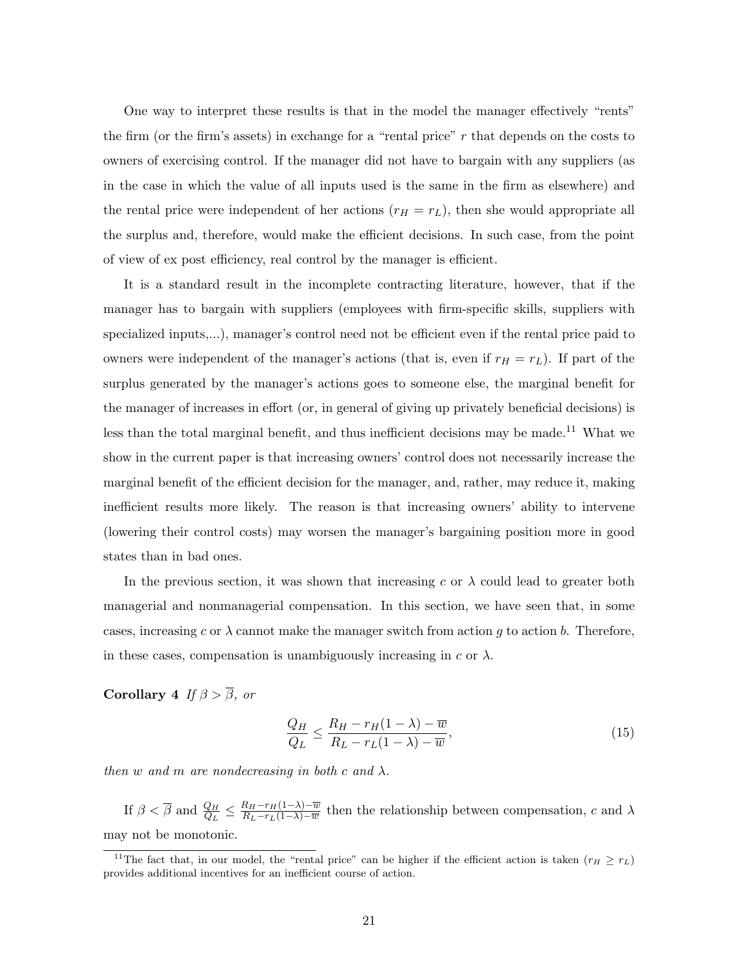One way to interpret these results is that in the model the manager effectively "rents" the firm (or the firm's assets) in exchange for a "rental price"  $r$  that depends on the costs to owners of exercising control. If the manager did not have to bargain with any suppliers (as in the case in which the value of all inputs used is the same in the firm as elsewhere) and the rental price were independent of her actions  $(r_H = r_L)$ , then she would appropriate all the surplus and, therefore, would make the efficient decisions. In such case, from the point of view of ex post efficiency, real control by the manager is efficient.

It is a standard result in the incomplete contracting literature, however, that if the manager has to bargain with suppliers (employees with firm-specific skills, suppliers with specialized inputs,...), manager's control need not be efficient even if the rental price paid to owners were independent of the manager's actions (that is, even if  $r_H = r_L$ ). If part of the surplus generated by the manager's actions goes to someone else, the marginal benefit for the manager of increases in effort (or, in general of giving up privately beneficial decisions) is less than the total marginal benefit, and thus inefficient decisions may be made.<sup>11</sup> What we show in the current paper is that increasing owners' control does not necessarily increase the marginal benefit of the efficient decision for the manager, and, rather, may reduce it, making inefficient results more likely. The reason is that increasing owners' ability to intervene (lowering their control costs) may worsen the manager's bargaining position more in good states than in bad ones.

In the previous section, it was shown that increasing c or  $\lambda$  could lead to greater both managerial and nonmanagerial compensation. In this section, we have seen that, in some cases, increasing c or  $\lambda$  cannot make the manager switch from action g to action b. Therefore, in these cases, compensation is unambiguously increasing in  $c$  or  $\lambda$ .

Corollary 4 If  $\beta > \overline{\beta}$ , or

$$
\frac{Q_H}{Q_L} \le \frac{R_H - r_H(1 - \lambda) - \overline{w}}{R_L - r_L(1 - \lambda) - \overline{w}},\tag{15}
$$

then w and m are nondecreasing in both c and  $\lambda$ .

If  $\beta < \overline{\beta}$  and  $\frac{Q_H}{Q_L} \leq \frac{R_H - r_H(1-\lambda) - \overline{w}}{R_L - r_L(1-\lambda) - \overline{w}}$  $\frac{R_H-r_H(1-\lambda)-w}{R_L-r_L(1-\lambda)-w}$  then the relationship between compensation, c and  $\lambda$ may not be monotonic.

<sup>&</sup>lt;sup>11</sup>The fact that, in our model, the "rental price" can be higher if the efficient action is taken  $(r_H \ge r_L)$ provides additional incentives for an inefficient course of action.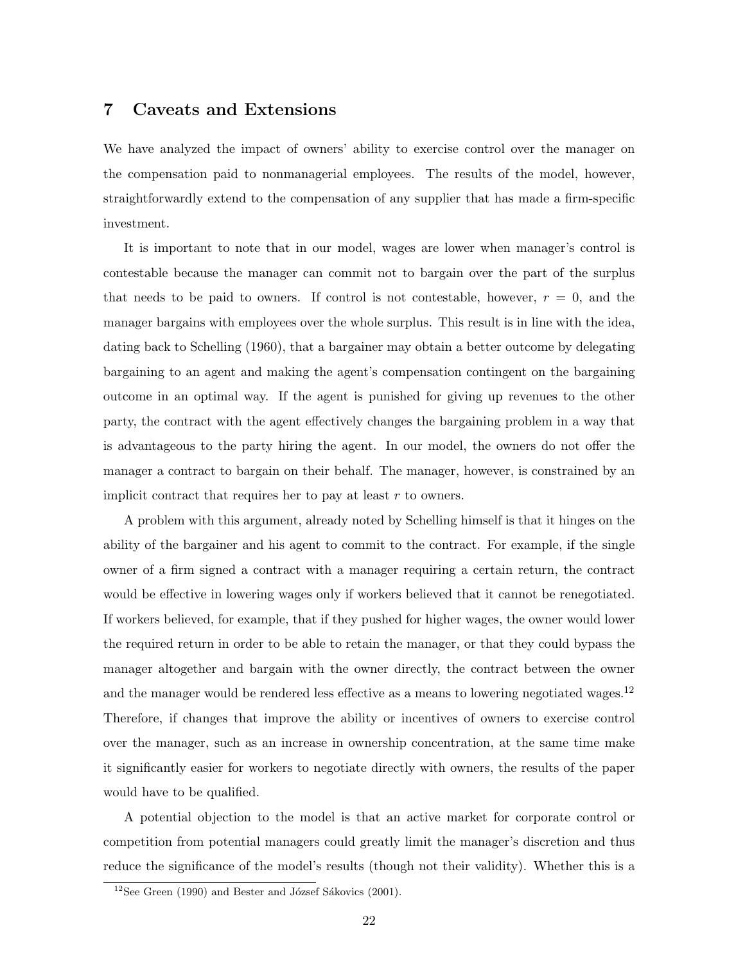#### 7 Caveats and Extensions

We have analyzed the impact of owners' ability to exercise control over the manager on the compensation paid to nonmanagerial employees. The results of the model, however, straightforwardly extend to the compensation of any supplier that has made a firm-specific investment.

It is important to note that in our model, wages are lower when manager's control is contestable because the manager can commit not to bargain over the part of the surplus that needs to be paid to owners. If control is not contestable, however,  $r = 0$ , and the manager bargains with employees over the whole surplus. This result is in line with the idea, dating back to Schelling (1960), that a bargainer may obtain a better outcome by delegating bargaining to an agent and making the agent's compensation contingent on the bargaining outcome in an optimal way. If the agent is punished for giving up revenues to the other party, the contract with the agent effectively changes the bargaining problem in a way that is advantageous to the party hiring the agent. In our model, the owners do not offer the manager a contract to bargain on their behalf. The manager, however, is constrained by an implicit contract that requires her to pay at least  $r$  to owners.

A problem with this argument, already noted by Schelling himself is that it hinges on the ability of the bargainer and his agent to commit to the contract. For example, if the single owner of a firm signed a contract with a manager requiring a certain return, the contract would be effective in lowering wages only if workers believed that it cannot be renegotiated. If workers believed, for example, that if they pushed for higher wages, the owner would lower the required return in order to be able to retain the manager, or that they could bypass the manager altogether and bargain with the owner directly, the contract between the owner and the manager would be rendered less effective as a means to lowering negotiated wages.<sup>12</sup> Therefore, if changes that improve the ability or incentives of owners to exercise control over the manager, such as an increase in ownership concentration, at the same time make it significantly easier for workers to negotiate directly with owners, the results of the paper would have to be qualified.

A potential objection to the model is that an active market for corporate control or competition from potential managers could greatly limit the manager's discretion and thus reduce the significance of the model's results (though not their validity). Whether this is a

 $12$ See Green (1990) and Bester and József Sákovics (2001).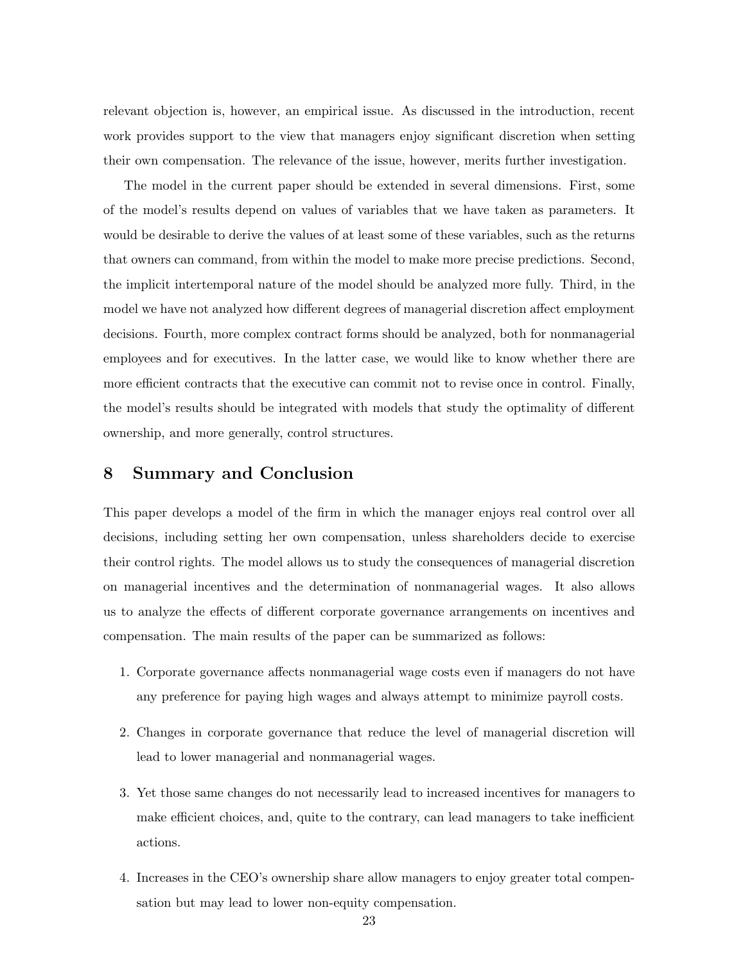relevant objection is, however, an empirical issue. As discussed in the introduction, recent work provides support to the view that managers enjoy significant discretion when setting their own compensation. The relevance of the issue, however, merits further investigation.

The model in the current paper should be extended in several dimensions. First, some of the model's results depend on values of variables that we have taken as parameters. It would be desirable to derive the values of at least some of these variables, such as the returns that owners can command, from within the model to make more precise predictions. Second, the implicit intertemporal nature of the model should be analyzed more fully. Third, in the model we have not analyzed how different degrees of managerial discretion affect employment decisions. Fourth, more complex contract forms should be analyzed, both for nonmanagerial employees and for executives. In the latter case, we would like to know whether there are more efficient contracts that the executive can commit not to revise once in control. Finally, the model's results should be integrated with models that study the optimality of different ownership, and more generally, control structures.

#### 8 Summary and Conclusion

This paper develops a model of the firm in which the manager enjoys real control over all decisions, including setting her own compensation, unless shareholders decide to exercise their control rights. The model allows us to study the consequences of managerial discretion on managerial incentives and the determination of nonmanagerial wages. It also allows us to analyze the effects of different corporate governance arrangements on incentives and compensation. The main results of the paper can be summarized as follows:

- 1. Corporate governance affects nonmanagerial wage costs even if managers do not have any preference for paying high wages and always attempt to minimize payroll costs.
- 2. Changes in corporate governance that reduce the level of managerial discretion will lead to lower managerial and nonmanagerial wages.
- 3. Yet those same changes do not necessarily lead to increased incentives for managers to make efficient choices, and, quite to the contrary, can lead managers to take inefficient actions.
- 4. Increases in the CEO's ownership share allow managers to enjoy greater total compensation but may lead to lower non-equity compensation.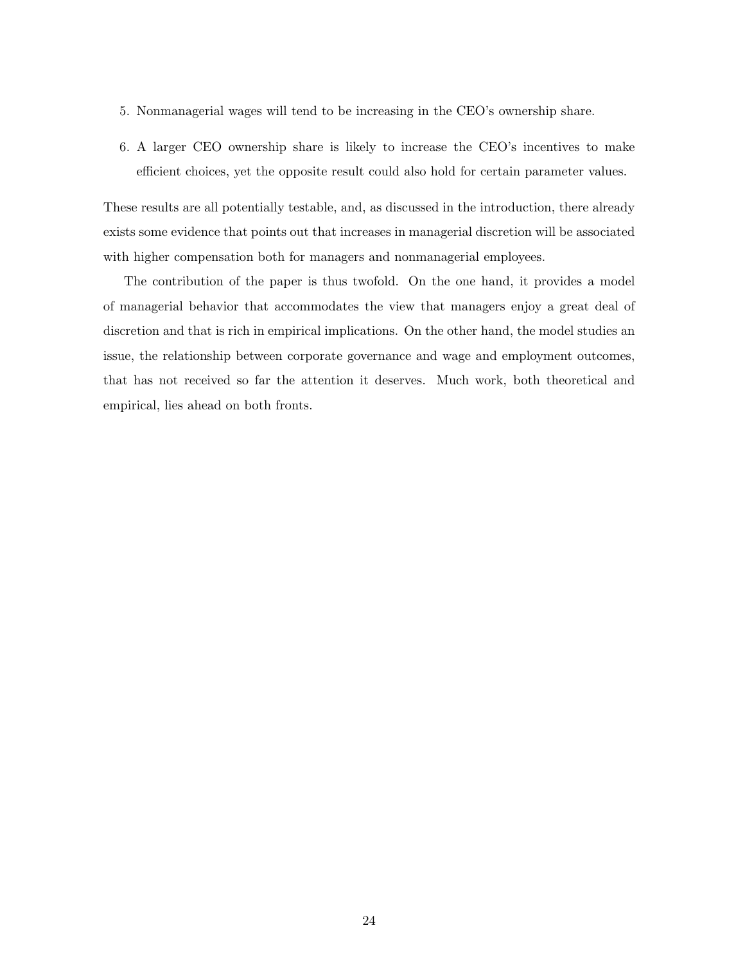- 5. Nonmanagerial wages will tend to be increasing in the CEO's ownership share.
- 6. A larger CEO ownership share is likely to increase the CEO's incentives to make efficient choices, yet the opposite result could also hold for certain parameter values.

These results are all potentially testable, and, as discussed in the introduction, there already exists some evidence that points out that increases in managerial discretion will be associated with higher compensation both for managers and nonmanagerial employees.

The contribution of the paper is thus twofold. On the one hand, it provides a model of managerial behavior that accommodates the view that managers enjoy a great deal of discretion and that is rich in empirical implications. On the other hand, the model studies an issue, the relationship between corporate governance and wage and employment outcomes, that has not received so far the attention it deserves. Much work, both theoretical and empirical, lies ahead on both fronts.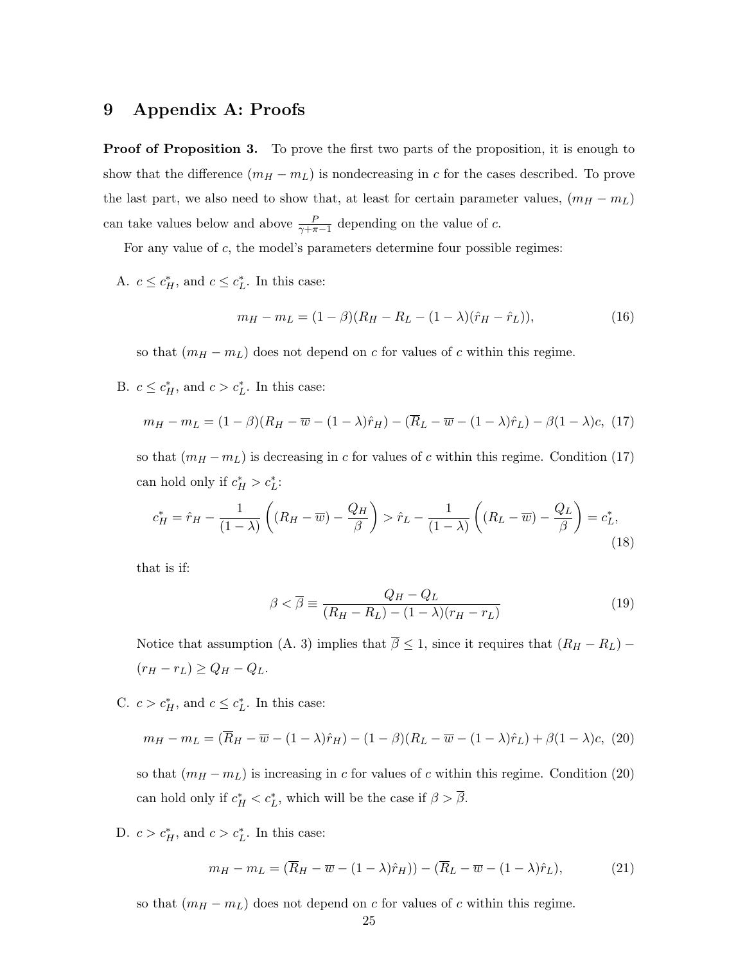## 9 Appendix A: Proofs

**Proof of Proposition 3.** To prove the first two parts of the proposition, it is enough to show that the difference  $(m_H - m_L)$  is nondecreasing in c for the cases described. To prove the last part, we also need to show that, at least for certain parameter values,  $(m_H - m_L)$ can take values below and above  $\frac{P}{\gamma + \pi - 1}$  depending on the value of c.

For any value of c, the model's parameters determine four possible regimes:

A.  $c \leq c_H^*$ , and  $c \leq c_L^*$ . In this case:

$$
m_H - m_L = (1 - \beta)(R_H - R_L - (1 - \lambda)(\hat{r}_H - \hat{r}_L)),
$$
\n(16)

so that  $(m_H - m_L)$  does not depend on c for values of c within this regime.

B.  $c \leq c_H^*$ , and  $c > c_L^*$ . In this case:

$$
m_H - m_L = (1 - \beta)(R_H - \overline{w} - (1 - \lambda)\hat{r}_H) - (\overline{R}_L - \overline{w} - (1 - \lambda)\hat{r}_L) - \beta(1 - \lambda)c, (17)
$$

so that  $(m_H - m_L)$  is decreasing in c for values of c within this regime. Condition (17) can hold only if  $c_H^* > c_L^*$ :

$$
c_H^* = \hat{r}_H - \frac{1}{(1-\lambda)} \left( (R_H - \overline{w}) - \frac{Q_H}{\beta} \right) > \hat{r}_L - \frac{1}{(1-\lambda)} \left( (R_L - \overline{w}) - \frac{Q_L}{\beta} \right) = c_L^*,\tag{18}
$$

that is if:

$$
\beta < \overline{\beta} \equiv \frac{Q_H - Q_L}{(R_H - R_L) - (1 - \lambda)(r_H - r_L)}\tag{19}
$$

Notice that assumption (A. 3) implies that  $\overline{\beta} \leq 1$ , since it requires that  $(R_H - R_L)$  –  $(r_H - r_L) \ge Q_H - Q_L.$ 

C.  $c > c_H^*$ , and  $c \leq c_L^*$ . In this case:

$$
m_H - m_L = (\overline{R}_H - \overline{w} - (1 - \lambda)\hat{r}_H) - (1 - \beta)(R_L - \overline{w} - (1 - \lambda)\hat{r}_L) + \beta(1 - \lambda)c, (20)
$$

so that  $(m_H - m_L)$  is increasing in c for values of c within this regime. Condition (20) can hold only if  $c_H^* < c_L^*$ , which will be the case if  $\beta > \overline{\beta}$ .

D.  $c > c_H^*$ , and  $c > c_L^*$ . In this case:

$$
m_H - m_L = (\overline{R}_H - \overline{w} - (1 - \lambda)\hat{r}_H)) - (\overline{R}_L - \overline{w} - (1 - \lambda)\hat{r}_L),
$$
\n(21)

so that  $(m_H - m_L)$  does not depend on c for values of c within this regime.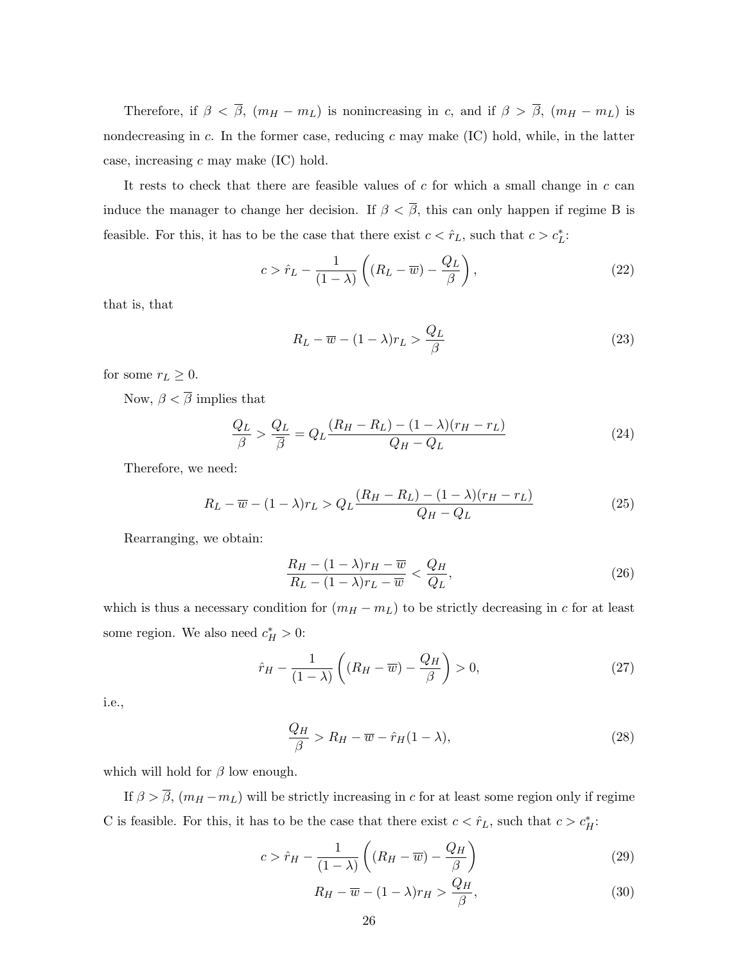Therefore, if  $\beta < \overline{\beta}$ ,  $(m_H - m_L)$  is nonincreasing in c, and if  $\beta > \overline{\beta}$ ,  $(m_H - m_L)$  is nondecreasing in c. In the former case, reducing c may make  $(IC)$  hold, while, in the latter case, increasing  $c$  may make  $(IC)$  hold.

It rests to check that there are feasible values of  $c$  for which a small change in  $c$  can induce the manager to change her decision. If  $\beta < \overline{\beta}$ , this can only happen if regime B is feasible. For this, it has to be the case that there exist  $c < \hat{r}_L$ , such that  $c > c_L^*$ :

$$
c > \hat{r}_L - \frac{1}{(1-\lambda)} \left( (R_L - \overline{w}) - \frac{Q_L}{\beta} \right),\tag{22}
$$

that is, that

$$
R_L - \overline{w} - (1 - \lambda)r_L > \frac{Q_L}{\beta}
$$
\n(23)

for some  $r_L \geq 0$ .

Now,  $\beta < \overline{\beta}$  implies that

$$
\frac{Q_L}{\beta} > \frac{Q_L}{\overline{\beta}} = Q_L \frac{(R_H - R_L) - (1 - \lambda)(r_H - r_L)}{Q_H - Q_L} \tag{24}
$$

Therefore, we need:

$$
R_L - \overline{w} - (1 - \lambda)r_L > Q_L \frac{(R_H - R_L) - (1 - \lambda)(r_H - r_L)}{Q_H - Q_L}
$$
\n(25)

Rearranging, we obtain:

$$
\frac{R_H - (1 - \lambda)r_H - \overline{w}}{R_L - (1 - \lambda)r_L - \overline{w}} < \frac{Q_H}{Q_L},\tag{26}
$$

which is thus a necessary condition for  $(m_H - m_L)$  to be strictly decreasing in c for at least some region. We also need  $c_H^* > 0$ :

$$
\hat{r}_H - \frac{1}{(1-\lambda)} \left( (R_H - \overline{w}) - \frac{Q_H}{\beta} \right) > 0, \tag{27}
$$

i.e.,

$$
\frac{Q_H}{\beta} > R_H - \overline{w} - \hat{r}_H (1 - \lambda),\tag{28}
$$

which will hold for  $\beta$  low enough.

If  $\beta > \overline{\beta}$ ,  $(m_H - m_L)$  will be strictly increasing in c for at least some region only if regime C is feasible. For this, it has to be the case that there exist  $c < \hat{r}_L$ , such that  $c > c_H^*$ :

$$
c > \hat{r}_H - \frac{1}{(1-\lambda)} \left( (R_H - \overline{w}) - \frac{Q_H}{\beta} \right)
$$
 (29)

$$
R_H - \overline{w} - (1 - \lambda)r_H > \frac{Q_H}{\beta},\tag{30}
$$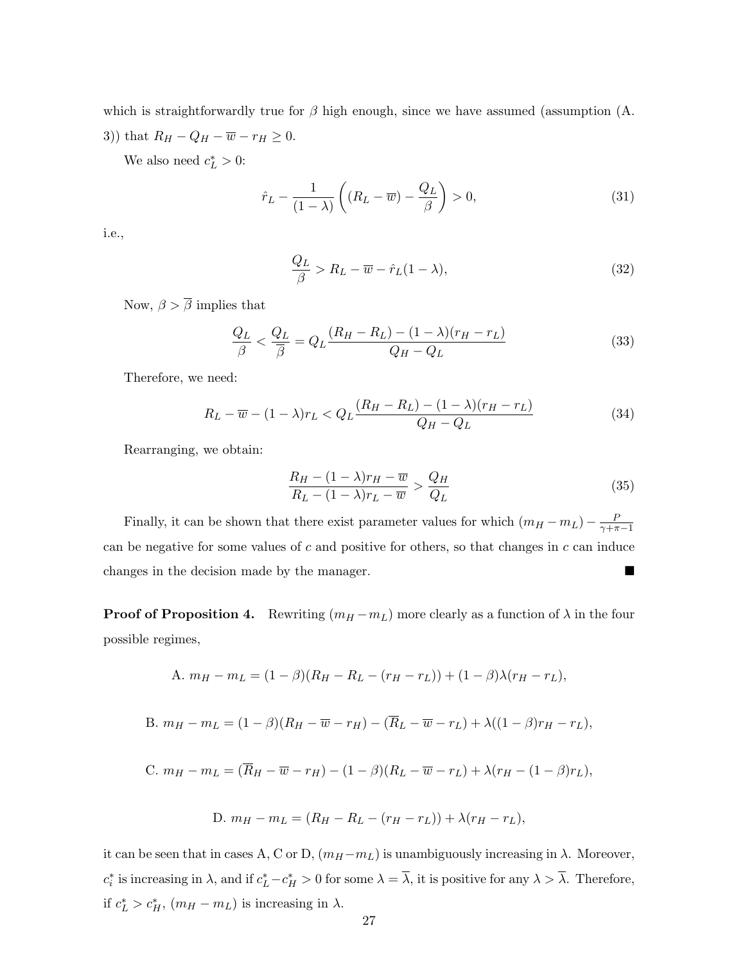which is straightforwardly true for  $\beta$  high enough, since we have assumed (assumption  $(A.$ 3)) that  $R_H - Q_H - \overline{w} - r_H \ge 0$ .

We also need  $c_L^* > 0$ :

$$
\hat{r}_L - \frac{1}{(1-\lambda)} \left( (R_L - \overline{w}) - \frac{Q_L}{\beta} \right) > 0,\tag{31}
$$

i.e.,

$$
\frac{Q_L}{\beta} > R_L - \overline{w} - \hat{r}_L(1 - \lambda),\tag{32}
$$

Now,  $\beta > \overline{\beta}$  implies that

$$
\frac{Q_L}{\beta} < \frac{Q_L}{\overline{\beta}} = Q_L \frac{(R_H - R_L) - (1 - \lambda)(r_H - r_L)}{Q_H - Q_L} \tag{33}
$$

Therefore, we need:

$$
R_L - \overline{w} - (1 - \lambda)r_L < Q_L \frac{(R_H - R_L) - (1 - \lambda)(r_H - r_L)}{Q_H - Q_L} \tag{34}
$$

Rearranging, we obtain:

$$
\frac{R_H - (1 - \lambda)r_H - \overline{w}}{R_L - (1 - \lambda)r_L - \overline{w}} > \frac{Q_H}{Q_L}
$$
\n(35)

Finally, it can be shown that there exist parameter values for which  $(m_H - m_L) - \frac{F}{\gamma + \pi}$  $\overline{\gamma+\pi-1}$ can be negative for some values of  $c$  and positive for others, so that changes in  $c$  can induce changes in the decision made by the manager.

**Proof of Proposition 4.** Rewriting  $(m_H - m_L)$  more clearly as a function of  $\lambda$  in the four possible regimes,

A. 
$$
m_H - m_L = (1 - \beta)(R_H - R_L - (r_H - r_L)) + (1 - \beta)\lambda(r_H - r_L),
$$

B. 
$$
m_H - m_L = (1 - \beta)(R_H - \overline{w} - r_H) - (\overline{R}_L - \overline{w} - r_L) + \lambda((1 - \beta)r_H - r_L),
$$

C. 
$$
m_H - m_L = (\overline{R}_H - \overline{w} - r_H) - (1 - \beta)(R_L - \overline{w} - r_L) + \lambda (r_H - (1 - \beta)r_L),
$$

D. 
$$
m_H - m_L = (R_H - R_L - (r_H - r_L)) + \lambda (r_H - r_L),
$$

it can be seen that in cases A, C or D,  $(m_H - m_L)$  is unambiguously increasing in  $\lambda$ . Moreover,  $c_i^*$  is increasing in  $\lambda$ , and if  $c_L^* - c_H^* > 0$  for some  $\lambda = \overline{\lambda}$ , it is positive for any  $\lambda > \overline{\lambda}$ . Therefore, if  $c_L^* > c_H^*$ ,  $(m_H - m_L)$  is increasing in  $\lambda$ .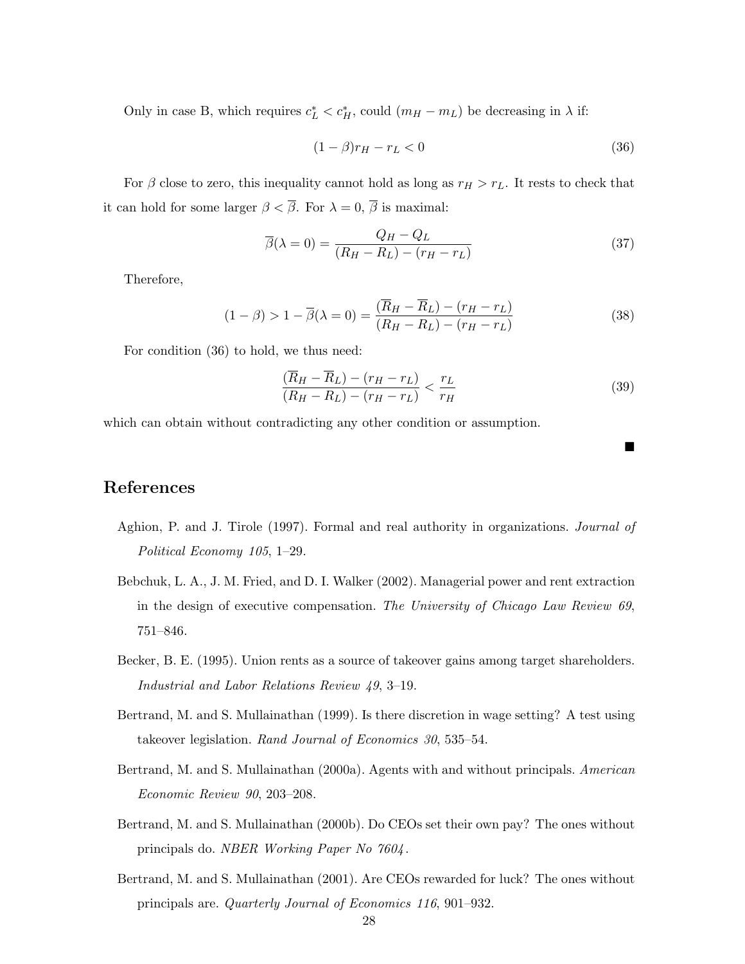Only in case B, which requires  $c_L^* < c_H^*$ , could  $(m_H - m_L)$  be decreasing in  $\lambda$  if:

$$
(1 - \beta)r_H - r_L < 0\tag{36}
$$

For  $\beta$  close to zero, this inequality cannot hold as long as  $r_H > r_L$ . It rests to check that it can hold for some larger  $\beta < \overline{\beta}$ . For  $\lambda = 0$ ,  $\overline{\beta}$  is maximal:

$$
\overline{\beta}(\lambda = 0) = \frac{Q_H - Q_L}{(R_H - R_L) - (r_H - r_L)}
$$
\n(37)

Therefore,

$$
(1 - \beta) > 1 - \overline{\beta}(\lambda = 0) = \frac{(\overline{R}_H - \overline{R}_L) - (r_H - r_L)}{(R_H - R_L) - (r_H - r_L)}
$$
(38)

For condition (36) to hold, we thus need:

$$
\frac{(\overline{R}_H - \overline{R}_L) - (r_H - r_L)}{(R_H - R_L) - (r_H - r_L)} < \frac{r_L}{r_H} \tag{39}
$$

 $\blacksquare$ 

which can obtain without contradicting any other condition or assumption.

### References

- Aghion, P. and J. Tirole (1997). Formal and real authority in organizations. Journal of Political Economy 105, 1–29.
- Bebchuk, L. A., J. M. Fried, and D. I. Walker (2002). Managerial power and rent extraction in the design of executive compensation. The University of Chicago Law Review 69, 751–846.
- Becker, B. E. (1995). Union rents as a source of takeover gains among target shareholders. Industrial and Labor Relations Review 49, 3–19.
- Bertrand, M. and S. Mullainathan (1999). Is there discretion in wage setting? A test using takeover legislation. Rand Journal of Economics 30, 535–54.
- Bertrand, M. and S. Mullainathan (2000a). Agents with and without principals. American Economic Review 90, 203–208.
- Bertrand, M. and S. Mullainathan (2000b). Do CEOs set their own pay? The ones without principals do. NBER Working Paper No 7604 .
- Bertrand, M. and S. Mullainathan (2001). Are CEOs rewarded for luck? The ones without principals are. Quarterly Journal of Economics 116, 901–932.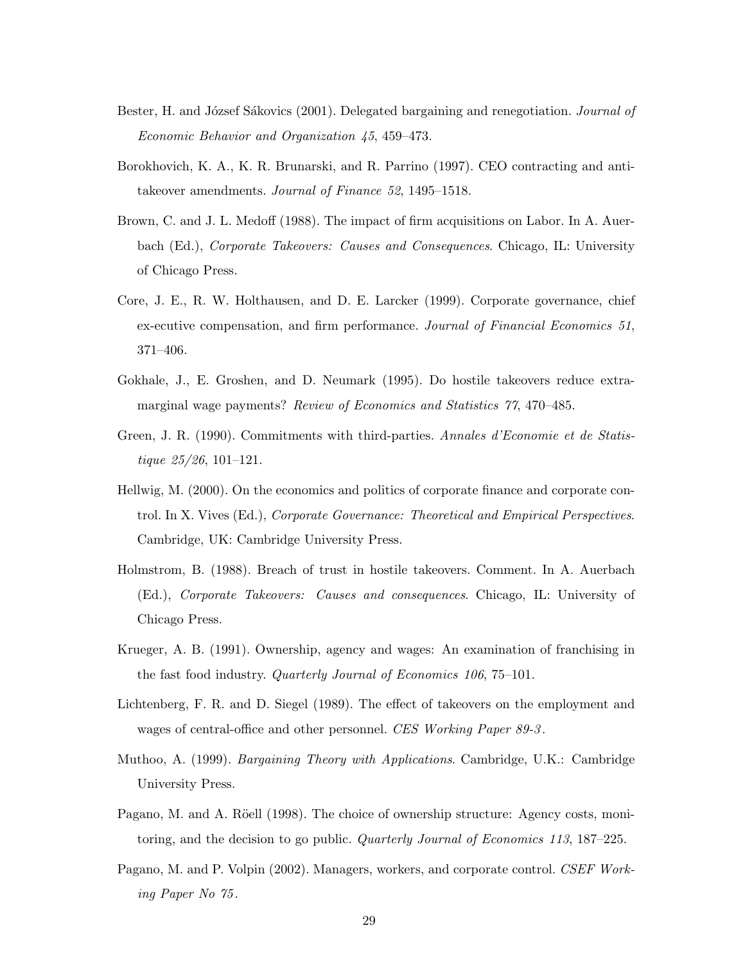- Bester, H. and József Sákovics (2001). Delegated bargaining and renegotiation. Journal of Economic Behavior and Organization 45, 459–473.
- Borokhovich, K. A., K. R. Brunarski, and R. Parrino (1997). CEO contracting and antitakeover amendments. Journal of Finance 52, 1495–1518.
- Brown, C. and J. L. Medoff (1988). The impact of firm acquisitions on Labor. In A. Auerbach (Ed.), Corporate Takeovers: Causes and Consequences. Chicago, IL: University of Chicago Press.
- Core, J. E., R. W. Holthausen, and D. E. Larcker (1999). Corporate governance, chief ex-ecutive compensation, and firm performance. Journal of Financial Economics 51, 371–406.
- Gokhale, J., E. Groshen, and D. Neumark (1995). Do hostile takeovers reduce extramarginal wage payments? Review of Economics and Statistics 77, 470–485.
- Green, J. R. (1990). Commitments with third-parties. Annales d'Economie et de Statistique 25/26, 101–121.
- Hellwig, M. (2000). On the economics and politics of corporate finance and corporate control. In X. Vives (Ed.), Corporate Governance: Theoretical and Empirical Perspectives. Cambridge, UK: Cambridge University Press.
- Holmstrom, B. (1988). Breach of trust in hostile takeovers. Comment. In A. Auerbach (Ed.), Corporate Takeovers: Causes and consequences. Chicago, IL: University of Chicago Press.
- Krueger, A. B. (1991). Ownership, agency and wages: An examination of franchising in the fast food industry. Quarterly Journal of Economics 106, 75–101.
- Lichtenberg, F. R. and D. Siegel (1989). The effect of takeovers on the employment and wages of central-office and other personnel. CES Working Paper 89-3.
- Muthoo, A. (1999). Bargaining Theory with Applications. Cambridge, U.K.: Cambridge University Press.
- Pagano, M. and A. Röell (1998). The choice of ownership structure: Agency costs, monitoring, and the decision to go public. Quarterly Journal of Economics 113, 187–225.
- Pagano, M. and P. Volpin (2002). Managers, workers, and corporate control. CSEF Working Paper No  $75$ .